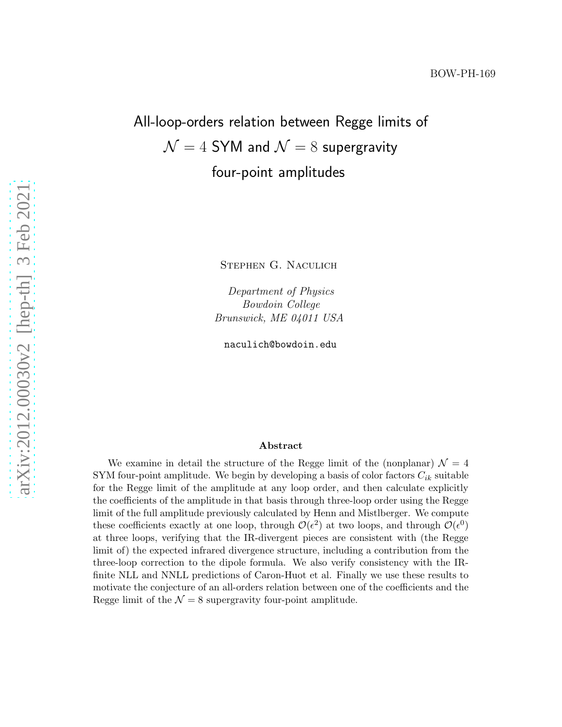# All-loop-orders relation between Regge limits of  $\mathcal{N}=4$  SYM and  $\mathcal{N}=8$  supergravity four-point amplitudes

Stephen G. Naculich

Department of Physics Bowdoin College Brunswick, ME 04011 USA

naculich@bowdoin.edu

#### Abstract

We examine in detail the structure of the Regge limit of the (nonplanar)  $\mathcal{N} = 4$ SYM four-point amplitude. We begin by developing a basis of color factors  $C_{ik}$  suitable for the Regge limit of the amplitude at any loop order, and then calculate explicitly the coefficients of the amplitude in that basis through three-loop order using the Regge limit of the full amplitude previously calculated by Henn and Mistlberger. We compute these coefficients exactly at one loop, through  $\mathcal{O}(\epsilon^2)$  at two loops, and through  $\mathcal{O}(\epsilon^0)$ at three loops, verifying that the IR-divergent pieces are consistent with (the Regge limit of) the expected infrared divergence structure, including a contribution from the three-loop correction to the dipole formula. We also verify consistency with the IRfinite NLL and NNLL predictions of Caron-Huot et al. Finally we use these results to motivate the conjecture of an all-orders relation between one of the coefficients and the Regge limit of the  $\mathcal{N} = 8$  supergravity four-point amplitude.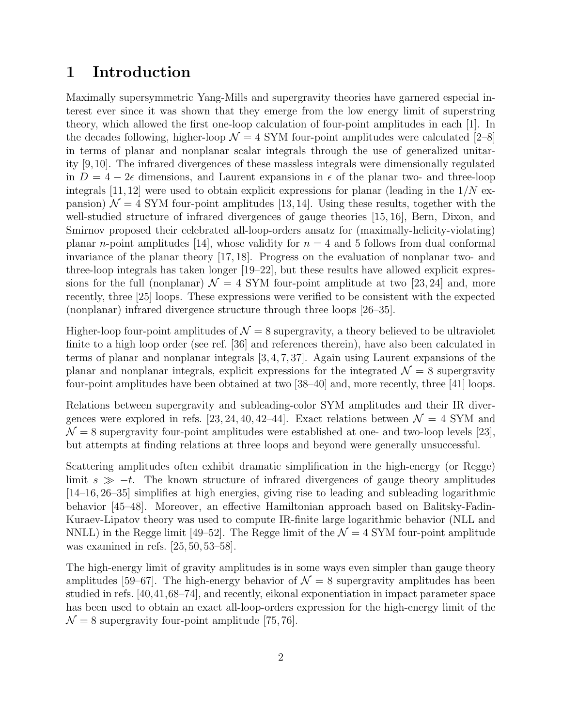# 1 Introduction

Maximally supersymmetric Yang-Mills and supergravity theories have garnered especial interest ever since it was shown that they emerge from the low energy limit of superstring theory, which allowed the first one-loop calculation of four-point amplitudes in each [1]. In the decades following, higher-loop  $\mathcal{N} = 4$  SYM four-point amplitudes were calculated [2–8] in terms of planar and nonplanar scalar integrals through the use of generalized unitarity [9,10]. The infrared divergences of these massless integrals were dimensionally regulated in  $D = 4 - 2\epsilon$  dimensions, and Laurent expansions in  $\epsilon$  of the planar two- and three-loop integrals  $[11, 12]$  were used to obtain explicit expressions for planar (leading in the  $1/N$  expansion)  $\mathcal{N} = 4$  SYM four-point amplitudes [13, 14]. Using these results, together with the well-studied structure of infrared divergences of gauge theories [15, 16], Bern, Dixon, and Smirnov proposed their celebrated all-loop-orders ansatz for (maximally-helicity-violating) planar *n*-point amplitudes [14], whose validity for  $n = 4$  and 5 follows from dual conformal invariance of the planar theory [17, 18]. Progress on the evaluation of nonplanar two- and three-loop integrals has taken longer [19–22], but these results have allowed explicit expressions for the full (nonplanar)  $\mathcal{N} = 4$  SYM four-point amplitude at two [23, 24] and, more recently, three [25] loops. These expressions were verified to be consistent with the expected (nonplanar) infrared divergence structure through three loops [26–35].

Higher-loop four-point amplitudes of  $\mathcal{N} = 8$  supergravity, a theory believed to be ultraviolet finite to a high loop order (see ref. [36] and references therein), have also been calculated in terms of planar and nonplanar integrals [3, 4, 7, 37]. Again using Laurent expansions of the planar and nonplanar integrals, explicit expressions for the integrated  $\mathcal{N}=8$  supergravity four-point amplitudes have been obtained at two [38–40] and, more recently, three [41] loops.

Relations between supergravity and subleading-color SYM amplitudes and their IR divergences were explored in refs. [23, 24, 40, 42–44]. Exact relations between  $\mathcal{N} = 4$  SYM and  $\mathcal{N} = 8$  supergravity four-point amplitudes were established at one- and two-loop levels [23], but attempts at finding relations at three loops and beyond were generally unsuccessful.

Scattering amplitudes often exhibit dramatic simplification in the high-energy (or Regge) limit  $s \gg -t$ . The known structure of infrared divergences of gauge theory amplitudes [14–16, 26–35] simplifies at high energies, giving rise to leading and subleading logarithmic behavior [45–48]. Moreover, an effective Hamiltonian approach based on Balitsky-Fadin-Kuraev-Lipatov theory was used to compute IR-finite large logarithmic behavior (NLL and NNLL) in the Regge limit [49–52]. The Regge limit of the  $\mathcal{N}=4$  SYM four-point amplitude was examined in refs. [25, 50, 53–58].

The high-energy limit of gravity amplitudes is in some ways even simpler than gauge theory amplitudes [59–67]. The high-energy behavior of  $\mathcal{N}=8$  supergravity amplitudes has been studied in refs. [40,41,68–74], and recently, eikonal exponentiation in impact parameter space has been used to obtain an exact all-loop-orders expression for the high-energy limit of the  $\mathcal{N} = 8$  supergravity four-point amplitude [75, 76].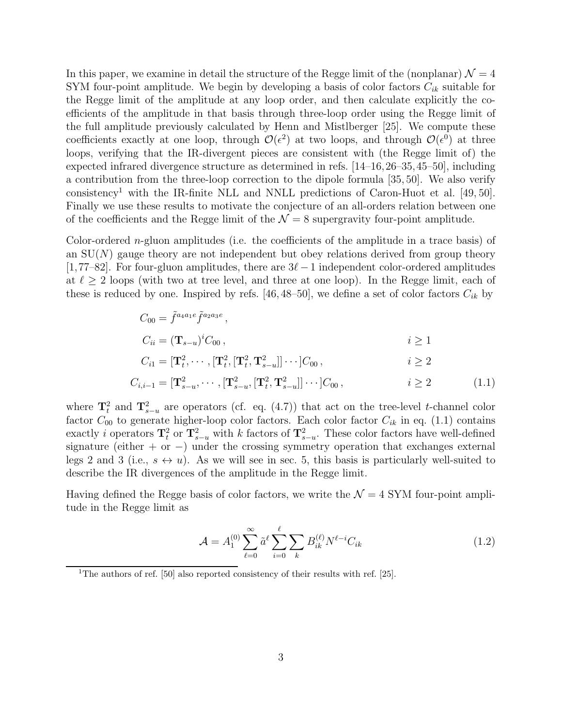In this paper, we examine in detail the structure of the Regge limit of the (nonplanar)  $\mathcal{N} = 4$ SYM four-point amplitude. We begin by developing a basis of color factors  $C_{ik}$  suitable for the Regge limit of the amplitude at any loop order, and then calculate explicitly the coefficients of the amplitude in that basis through three-loop order using the Regge limit of the full amplitude previously calculated by Henn and Mistlberger [25]. We compute these coefficients exactly at one loop, through  $\mathcal{O}(\epsilon^2)$  at two loops, and through  $\mathcal{O}(\epsilon^0)$  at three loops, verifying that the IR-divergent pieces are consistent with (the Regge limit of) the expected infrared divergence structure as determined in refs. [14–16,26–35,45–50], including a contribution from the three-loop correction to the dipole formula [35, 50]. We also verify consistency<sup>1</sup> with the IR-finite NLL and NNLL predictions of Caron-Huot et al. [49, 50]. Finally we use these results to motivate the conjecture of an all-orders relation between one of the coefficients and the Regge limit of the  $\mathcal{N} = 8$  supergravity four-point amplitude.

Color-ordered n-gluon amplitudes (i.e. the coefficients of the amplitude in a trace basis) of an  $SU(N)$  gauge theory are not independent but obey relations derived from group theory [1,77–82]. For four-gluon amplitudes, there are  $3\ell-1$  independent color-ordered amplitudes at  $\ell \geq 2$  loops (with two at tree level, and three at one loop). In the Regge limit, each of these is reduced by one. Inspired by refs. [46, 48–50], we define a set of color factors  $C_{ik}$  by

$$
C_{00} = \tilde{f}^{a_4 a_1 e} \tilde{f}^{a_2 a_3 e},
$$
  
\n
$$
C_{ii} = (\mathbf{T}_{s-u})^i C_{00}, \qquad i \ge 1
$$
  
\n
$$
C_{i1} = [\mathbf{T}_t^2, \cdots, [\mathbf{T}_t^2, [\mathbf{T}_t^2, \mathbf{T}_{s-u}^2]] \cdots] C_{00}, \qquad i \ge 2
$$

$$
C_{i,i-1} = [\mathbf{T}_{s-u}^2, \cdots, [\mathbf{T}_{s-u}^2, [\mathbf{T}_t^2, \mathbf{T}_{s-u}^2]] \cdots] C_{00}, \qquad i \ge 2 \qquad (1.1)
$$

where  $\mathbf{T}_t^2$  and  $\mathbf{T}_{s-u}^2$  are operators (cf. eq. (4.7)) that act on the tree-level t-channel color factor  $C_{00}$  to generate higher-loop color factors. Each color factor  $C_{ik}$  in eq. (1.1) contains exactly *i* operators  $\mathbf{T}_t^2$  or  $\mathbf{T}_{s-u}^2$  with *k* factors of  $\mathbf{T}_{s-u}^2$ . These color factors have well-defined signature (either + or -) under the crossing symmetry operation that exchanges external legs 2 and 3 (i.e.,  $s \leftrightarrow u$ ). As we will see in sec. 5, this basis is particularly well-suited to describe the IR divergences of the amplitude in the Regge limit.

Having defined the Regge basis of color factors, we write the  $\mathcal{N}=4$  SYM four-point amplitude in the Regge limit as

$$
\mathcal{A} = A_1^{(0)} \sum_{\ell=0}^{\infty} \tilde{a}^{\ell} \sum_{i=0}^{\ell} \sum_k B_{ik}^{(\ell)} N^{\ell-i} C_{ik} \tag{1.2}
$$

<sup>&</sup>lt;sup>1</sup>The authors of ref. [50] also reported consistency of their results with ref. [25].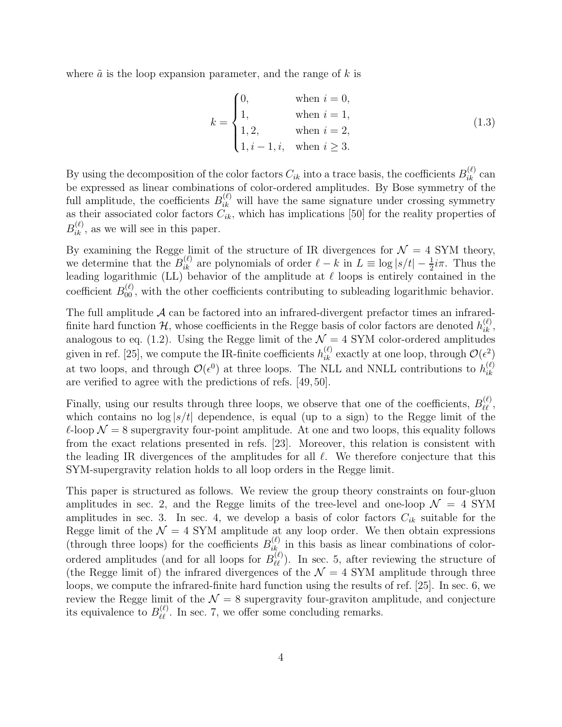where  $\tilde{a}$  is the loop expansion parameter, and the range of k is

$$
k = \begin{cases} 0, & \text{when } i = 0, \\ 1, & \text{when } i = 1, \\ 1, 2, & \text{when } i = 2, \\ 1, i - 1, i, & \text{when } i \ge 3. \end{cases}
$$
(1.3)

By using the decomposition of the color factors  $C_{ik}$  into a trace basis, the coefficients  $B_{ik}^{(\ell)}$  can be expressed as linear combinations of color-ordered amplitudes. By Bose symmetry of the full amplitude, the coefficients  $B_{ik}^{(\ell)}$  will have the same signature under crossing symmetry as their associated color factors  $C_{ik}$ , which has implications [50] for the reality properties of  $B_{ik}^{(\ell)}$ , as we will see in this paper.

By examining the Regge limit of the structure of IR divergences for  $\mathcal{N} = 4$  SYM theory, we determine that the  $B_{ik}^{(\ell)}$  are polynomials of order  $\ell - k$  in  $L \equiv \log |s/t| - \frac{1}{2}i\pi$ . Thus the leading logarithmic (LL) behavior of the amplitude at  $\ell$  loops is entirely contained in the coefficient  $B_{00}^{(\ell)}$ , with the other coefficients contributing to subleading logarithmic behavior.

The full amplitude  $A$  can be factored into an infrared-divergent prefactor times an infraredfinite hard function  $\mathcal{H}$ , whose coefficients in the Regge basis of color factors are denoted  $h_{ik}^{(\ell)}$ , analogous to eq. (1.2). Using the Regge limit of the  $\mathcal{N}=4$  SYM color-ordered amplitudes given in ref. [25], we compute the IR-finite coefficients  $h_{ik}^{(\ell)}$  exactly at one loop, through  $\mathcal{O}(\epsilon^2)$ at two loops, and through  $\mathcal{O}(\epsilon^0)$  at three loops. The NLL and NNLL contributions to  $h_{ik}^{(\ell)}$ ik are verified to agree with the predictions of refs. [49, 50].

Finally, using our results through three loops, we observe that one of the coefficients,  $B_{\ell\ell}^{(\ell)}$ , which contains no  $\log |s/t|$  dependence, is equal (up to a sign) to the Regge limit of the  $\ell$ -loop  $\mathcal{N} = 8$  supergravity four-point amplitude. At one and two loops, this equality follows from the exact relations presented in refs. [23]. Moreover, this relation is consistent with the leading IR divergences of the amplitudes for all  $\ell$ . We therefore conjecture that this SYM-supergravity relation holds to all loop orders in the Regge limit.

This paper is structured as follows. We review the group theory constraints on four-gluon amplitudes in sec. 2, and the Regge limits of the tree-level and one-loop  $\mathcal{N} = 4$  SYM amplitudes in sec. 3. In sec. 4, we develop a basis of color factors  $C_{ik}$  suitable for the Regge limit of the  $\mathcal{N} = 4$  SYM amplitude at any loop order. We then obtain expressions (through three loops) for the coefficients  $B_{ik}^{(\ell)}$  in this basis as linear combinations of colorordered amplitudes (and for all loops for  $B_{\ell\ell}^{(\ell)}$ ). In sec. 5, after reviewing the structure of (the Regge limit of) the infrared divergences of the  $\mathcal{N} = 4$  SYM amplitude through three loops, we compute the infrared-finite hard function using the results of ref. [25]. In sec. 6, we review the Regge limit of the  $\mathcal{N} = 8$  supergravity four-graviton amplitude, and conjecture its equivalence to  $B_{\ell\ell}^{(\ell)}$ . In sec. 7, we offer some concluding remarks.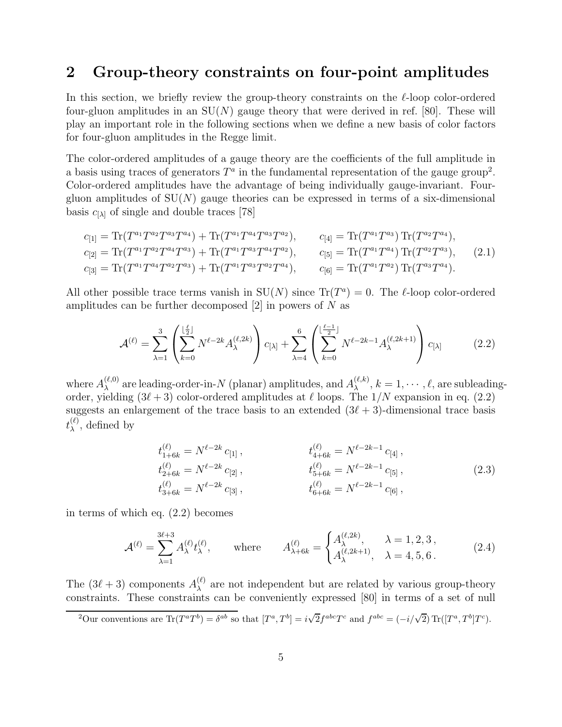### 2 Group-theory constraints on four-point amplitudes

In this section, we briefly review the group-theory constraints on the  $\ell$ -loop color-ordered four-gluon amplitudes in an  $SU(N)$  gauge theory that were derived in ref. [80]. These will play an important role in the following sections when we define a new basis of color factors for four-gluon amplitudes in the Regge limit.

The color-ordered amplitudes of a gauge theory are the coefficients of the full amplitude in a basis using traces of generators  $T^a$  in the fundamental representation of the gauge group<sup>2</sup>. Color-ordered amplitudes have the advantage of being individually gauge-invariant. Fourgluon amplitudes of  $SU(N)$  gauge theories can be expressed in terms of a six-dimensional basis  $c_{[\lambda]}$  of single and double traces [78]

$$
c_{[1]} = \text{Tr}(T^{a_1}T^{a_2}T^{a_3}T^{a_4}) + \text{Tr}(T^{a_1}T^{a_4}T^{a_3}T^{a_2}), \qquad c_{[4]} = \text{Tr}(T^{a_1}T^{a_3}) \text{Tr}(T^{a_2}T^{a_4}),
$$
  
\n
$$
c_{[2]} = \text{Tr}(T^{a_1}T^{a_2}T^{a_4}T^{a_3}) + \text{Tr}(T^{a_1}T^{a_3}T^{a_4}T^{a_2}), \qquad c_{[5]} = \text{Tr}(T^{a_1}T^{a_4}) \text{Tr}(T^{a_2}T^{a_3}),
$$
  
\n
$$
c_{[3]} = \text{Tr}(T^{a_1}T^{a_4}T^{a_2}T^{a_3}) + \text{Tr}(T^{a_1}T^{a_3}T^{a_2}T^{a_4}), \qquad c_{[6]} = \text{Tr}(T^{a_1}T^{a_2}) \text{Tr}(T^{a_3}T^{a_4}).
$$
  
\n(2.1)

All other possible trace terms vanish in  $SU(N)$  since  $Tr(T^a) = 0$ . The  $\ell$ -loop color-ordered amplitudes can be further decomposed  $[2]$  in powers of N as

$$
\mathcal{A}^{(\ell)} = \sum_{\lambda=1}^{3} \left( \sum_{k=0}^{\lfloor \frac{\ell}{2} \rfloor} N^{\ell-2k} A_{\lambda}^{(\ell,2k)} \right) c_{[\lambda]} + \sum_{\lambda=4}^{6} \left( \sum_{k=0}^{\lfloor \frac{\ell-1}{2} \rfloor} N^{\ell-2k-1} A_{\lambda}^{(\ell,2k+1)} \right) c_{[\lambda]} \tag{2.2}
$$

where  $A_{\lambda}^{(\ell,0)}$  $\lambda^{(\ell,0)}$  are leading-order-in-N (planar) amplitudes, and  $A_{\lambda}^{(\ell,k)}$  $\lambda^{(\ell,\kappa)}, k = 1, \cdots, \ell$ , are subleadingorder, yielding  $(3\ell + 3)$  color-ordered amplitudes at  $\ell$  loops. The  $1/N$  expansion in eq. (2.2) suggests an enlargement of the trace basis to an extended  $(3\ell + 3)$ -dimensional trace basis  $t_\lambda^{(\ell)}$  $\lambda^{(\ell)}$ , defined by

$$
t_{1+6k}^{(\ell)} = N^{\ell-2k} c_{[1]}, \qquad t_{4+6k}^{(\ell)} = N^{\ell-2k-1} c_{[4]},
$$
  
\n
$$
t_{2+6k}^{(\ell)} = N^{\ell-2k} c_{[2]}, \qquad t_{5+6k}^{(\ell)} = N^{\ell-2k-1} c_{[5]},
$$
  
\n
$$
t_{3+6k}^{(\ell)} = N^{\ell-2k} c_{[3]}, \qquad t_{6+6k}^{(\ell)} = N^{\ell-2k-1} c_{[6]},
$$
  
\n(2.3)

in terms of which eq. (2.2) becomes

$$
\mathcal{A}^{(\ell)} = \sum_{\lambda=1}^{3\ell+3} A_{\lambda}^{(\ell)} t_{\lambda}^{(\ell)}, \quad \text{where} \quad A_{\lambda+6k}^{(\ell)} = \begin{cases} A_{\lambda}^{(\ell,2k)}, & \lambda = 1,2,3, \\ A_{\lambda}^{(\ell,2k+1)}, & \lambda = 4,5,6. \end{cases}
$$
(2.4)

The  $(3\ell+3)$  components  $A_{\lambda}^{(\ell)}$  $\lambda$  are not independent but are related by various group-theory constraints. These constraints can be conveniently expressed [80] in terms of a set of null

<sup>2</sup>Our conventions are  $\text{Tr}(T^a T^b) = \delta^{ab}$  so that  $[T^a, T^b] = i\sqrt{2}f^{abc}T^c$  and  $f^{abc} = (-i/\sqrt{2}) \text{Tr}([T^a, T^b]T^c)$ .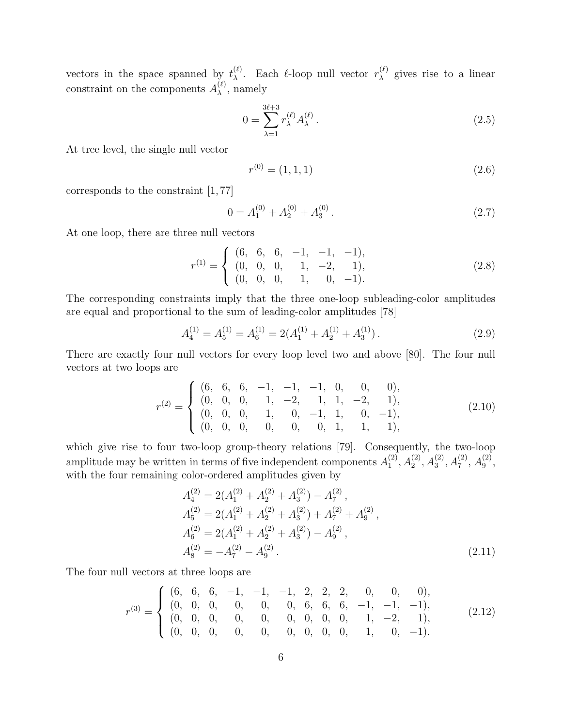vectors in the space spanned by  $t_{\lambda}^{(\ell)}$ <sup>( $\ell$ </sup>). Each  $\ell$ -loop null vector  $r_{\lambda}^{(\ell)}$  $\lambda^{(t)}$  gives rise to a linear constraint on the components  $A_{\lambda}^{(\ell)}$  $_{\lambda}^{(\ell)}$ , namely

$$
0 = \sum_{\lambda=1}^{3\ell+3} r_{\lambda}^{(\ell)} A_{\lambda}^{(\ell)}.
$$
 (2.5)

At tree level, the single null vector

$$
r^{(0)} = (1, 1, 1) \tag{2.6}
$$

corresponds to the constraint [1, 77]

$$
0 = A_1^{(0)} + A_2^{(0)} + A_3^{(0)}.
$$
\n(2.7)

At one loop, there are three null vectors

$$
r^{(1)} = \begin{cases} (6, 6, 6, -1, -1, -1), \\ (0, 0, 0, 1, -2, 1), \\ (0, 0, 0, 1, 0, -1). \end{cases}
$$
 (2.8)

The corresponding constraints imply that the three one-loop subleading-color amplitudes are equal and proportional to the sum of leading-color amplitudes [78]

$$
A_4^{(1)} = A_5^{(1)} = A_6^{(1)} = 2(A_1^{(1)} + A_2^{(1)} + A_3^{(1)}).
$$
\n(2.9)

There are exactly four null vectors for every loop level two and above [80]. The four null vectors at two loops are

$$
r^{(2)} = \begin{cases} (6, 6, 6, -1, -1, -1, 0, 0, 0), \\ (0, 0, 0, 1, -2, 1, 1, -2, 1), \\ (0, 0, 0, 1, 0, -1, 1, 0, -1), \\ (0, 0, 0, 0, 0, 0, 1, 1, 1), \end{cases} (2.10)
$$

which give rise to four two-loop group-theory relations [79]. Consequently, the two-loop amplitude may be written in terms of five independent components  $A_1^{(2)}$  $A_1^{(2)}, A_2^{(2)}, A_3^{(2)}, A_7^{(2)}, A_9^{(2)}$  $\binom{2}{9}$ with the four remaining color-ordered amplitudes given by

$$
A_4^{(2)} = 2(A_1^{(2)} + A_2^{(2)} + A_3^{(2)}) - A_7^{(2)},
$$
  
\n
$$
A_5^{(2)} = 2(A_1^{(2)} + A_2^{(2)} + A_3^{(2)}) + A_7^{(2)} + A_9^{(2)},
$$
  
\n
$$
A_6^{(2)} = 2(A_1^{(2)} + A_2^{(2)} + A_3^{(2)}) - A_9^{(2)},
$$
  
\n
$$
A_8^{(2)} = -A_7^{(2)} - A_9^{(2)}.
$$
\n(2.11)

The four null vectors at three loops are

$$
r^{(3)} = \begin{cases} (6, 6, 6, -1, -1, -1, 2, 2, 2, 0, 0, 0), \\ (0, 0, 0, 0, 0, 0, 0, 6, 6, -1, -1, -1), \\ (0, 0, 0, 0, 0, 0, 0, 0, 0, 1, -2, 1), \\ (0, 0, 0, 0, 0, 0, 0, 0, 1, 0, -1). \end{cases} (2.12)
$$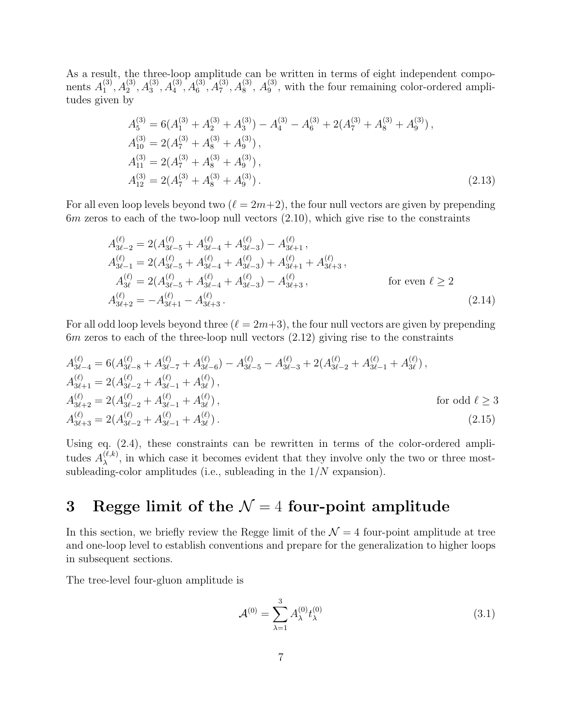As a result, the three-loop amplitude can be written in terms of eight independent components  $A_1^{(3)}$  $A_1^{(3)}, A_2^{(3)}, A_3^{(3)}, A_4^{(3)}, A_5^{(3)}, A_8^{(3)}, A_9^{(3)}$ , with the four remaining color-ordered amplitudes given by

$$
A_5^{(3)} = 6(A_1^{(3)} + A_2^{(3)} + A_3^{(3)}) - A_4^{(3)} - A_6^{(3)} + 2(A_7^{(3)} + A_8^{(3)} + A_9^{(3)}),
$$
  
\n
$$
A_{10}^{(3)} = 2(A_7^{(3)} + A_8^{(3)} + A_9^{(3)}),
$$
  
\n
$$
A_{11}^{(3)} = 2(A_7^{(3)} + A_8^{(3)} + A_9^{(3)}),
$$
  
\n
$$
A_{12}^{(3)} = 2(A_7^{(3)} + A_8^{(3)} + A_9^{(3)}).
$$
\n(2.13)

For all even loop levels beyond two  $(\ell = 2m+2)$ , the four null vectors are given by prepending  $6m$  zeros to each of the two-loop null vectors  $(2.10)$ , which give rise to the constraints

$$
A_{3\ell-2}^{(\ell)} = 2(A_{3\ell-5}^{(\ell)} + A_{3\ell-4}^{(\ell)} + A_{3\ell-3}^{(\ell)}) - A_{3\ell+1}^{(\ell)},
$$
  
\n
$$
A_{3\ell-1}^{(\ell)} = 2(A_{3\ell-5}^{(\ell)} + A_{3\ell-4}^{(\ell)} + A_{3\ell-3}^{(\ell)}) + A_{3\ell+1}^{(\ell)} + A_{3\ell+3}^{(\ell)},
$$
  
\n
$$
A_{3\ell}^{(\ell)} = 2(A_{3\ell-5}^{(\ell)} + A_{3\ell-4}^{(\ell)} + A_{3\ell-3}^{(\ell)}) - A_{3\ell+3}^{(\ell)},
$$
  
\nfor even  $\ell \ge 2$   
\n
$$
A_{3\ell+2}^{(\ell)} = -A_{3\ell+1}^{(\ell)} - A_{3\ell+3}^{(\ell)}.
$$
\n(2.14)

For all odd loop levels beyond three  $(\ell = 2m+3)$ , the four null vectors are given by prepending 6m zeros to each of the three-loop null vectors (2.12) giving rise to the constraints

$$
A_{3\ell-4}^{(\ell)} = 6(A_{3\ell-8}^{(\ell)} + A_{3\ell-7}^{(\ell)} + A_{3\ell-6}^{(\ell)}) - A_{3\ell-5}^{(\ell)} - A_{3\ell-3}^{(\ell)} + 2(A_{3\ell-2}^{(\ell)} + A_{3\ell-1}^{(\ell)} + A_{3\ell}^{(\ell)}),
$$
  
\n
$$
A_{3\ell+1}^{(\ell)} = 2(A_{3\ell-2}^{(\ell)} + A_{3\ell-1}^{(\ell)} + A_{3\ell}^{(\ell)}),
$$
  
\n
$$
A_{3\ell+2}^{(\ell)} = 2(A_{3\ell-2}^{(\ell)} + A_{3\ell-1}^{(\ell)} + A_{3\ell}^{(\ell)}),
$$
  
\n
$$
A_{3\ell+3}^{(\ell)} = 2(A_{3\ell-2}^{(\ell)} + A_{3\ell-1}^{(\ell)} + A_{3\ell}^{(\ell)}).
$$
  
\nfor odd  $\ell \ge 3$   
\n
$$
A_{3\ell+3}^{(\ell)} = 2(A_{3\ell-2}^{(\ell)} + A_{3\ell-1}^{(\ell)} + A_{3\ell}^{(\ell)}).
$$
  
\n(2.15)

Using eq.  $(2.4)$ , these constraints can be rewritten in terms of the color-ordered amplitudes  $A_{\lambda}^{(\ell,k)}$  $\lambda^{(t,k)}$ , in which case it becomes evident that they involve only the two or three mostsubleading-color amplitudes (i.e., subleading in the  $1/N$  expansion).

# 3 Regge limit of the  $\mathcal{N}=4$  four-point amplitude

In this section, we briefly review the Regge limit of the  $\mathcal{N}=4$  four-point amplitude at tree and one-loop level to establish conventions and prepare for the generalization to higher loops in subsequent sections.

The tree-level four-gluon amplitude is

$$
\mathcal{A}^{(0)} = \sum_{\lambda=1}^{3} A_{\lambda}^{(0)} t_{\lambda}^{(0)} \tag{3.1}
$$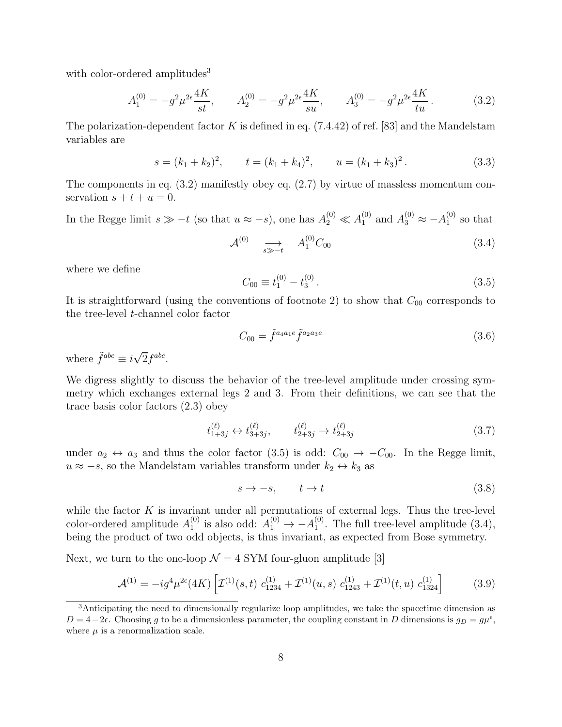with color-ordered amplitudes<sup>3</sup>

$$
A_1^{(0)} = -g^2 \mu^{2\epsilon} \frac{4K}{st}, \qquad A_2^{(0)} = -g^2 \mu^{2\epsilon} \frac{4K}{su}, \qquad A_3^{(0)} = -g^2 \mu^{2\epsilon} \frac{4K}{tu} \,. \tag{3.2}
$$

The polarization-dependent factor K is defined in eq.  $(7.4.42)$  of ref. [83] and the Mandelstam variables are

$$
s = (k_1 + k_2)^2
$$
,  $t = (k_1 + k_4)^2$ ,  $u = (k_1 + k_3)^2$ . (3.3)

The components in eq. (3.2) manifestly obey eq. (2.7) by virtue of massless momentum conservation  $s + t + u = 0$ .

In the Regge limit  $s \gg -t$  (so that  $u \approx -s$ ), one has  $A_2^{(0)} \ll A_1^{(0)}$  and  $A_3^{(0)} \approx -A_1^{(0)}$  $_1^{\left(\nu\right)}$  so that

$$
\mathcal{A}^{(0)} \quad \underset{s \gg -t}{\longrightarrow} \quad A_1^{(0)} C_{00} \tag{3.4}
$$

where we define

$$
C_{00} \equiv t_1^{(0)} - t_3^{(0)} \,. \tag{3.5}
$$

It is straightforward (using the conventions of footnote 2) to show that  $C_{00}$  corresponds to the tree-level t-channel color factor

$$
C_{00} = \tilde{f}^{a_4 a_1 e} \tilde{f}^{a_2 a_3 e} \tag{3.6}
$$

where  $\tilde{f}^{abc} \equiv i\sqrt{2}f^{abc}$ .

We digress slightly to discuss the behavior of the tree-level amplitude under crossing symmetry which exchanges external legs 2 and 3. From their definitions, we can see that the trace basis color factors (2.3) obey

$$
t_{1+3j}^{(\ell)} \leftrightarrow t_{3+3j}^{(\ell)}, \qquad t_{2+3j}^{(\ell)} \to t_{2+3j}^{(\ell)} \tag{3.7}
$$

under  $a_2 \leftrightarrow a_3$  and thus the color factor (3.5) is odd:  $C_{00} \rightarrow -C_{00}$ . In the Regge limit,  $u \approx -s$ , so the Mandelstam variables transform under  $k_2 \leftrightarrow k_3$  as

$$
s \to -s, \qquad t \to t \tag{3.8}
$$

while the factor  $K$  is invariant under all permutations of external legs. Thus the tree-level color-ordered amplitude  $A_1^{(0)}$  $_1^{(0)}$  is also odd:  $A_1^{(0)} \rightarrow -A_1^{(0)}$  $_1^{(0)}$ . The full tree-level amplitude  $(3.4)$ , being the product of two odd objects, is thus invariant, as expected from Bose symmetry.

Next, we turn to the one-loop  $\mathcal{N} = 4$  SYM four-gluon amplitude [3]

$$
\mathcal{A}^{(1)} = -ig^4\mu^{2\epsilon}(4K) \left[ \mathcal{I}^{(1)}(s,t) \ c_{1234}^{(1)} + \mathcal{I}^{(1)}(u,s) \ c_{1243}^{(1)} + \mathcal{I}^{(1)}(t,u) \ c_{1324}^{(1)} \right] \tag{3.9}
$$

<sup>&</sup>lt;sup>3</sup>Anticipating the need to dimensionally regularize loop amplitudes, we take the spacetime dimension as  $D = 4-2\epsilon$ . Choosing g to be a dimensionless parameter, the coupling constant in D dimensions is  $g_D = g\mu^{\epsilon}$ , where  $\mu$  is a renormalization scale.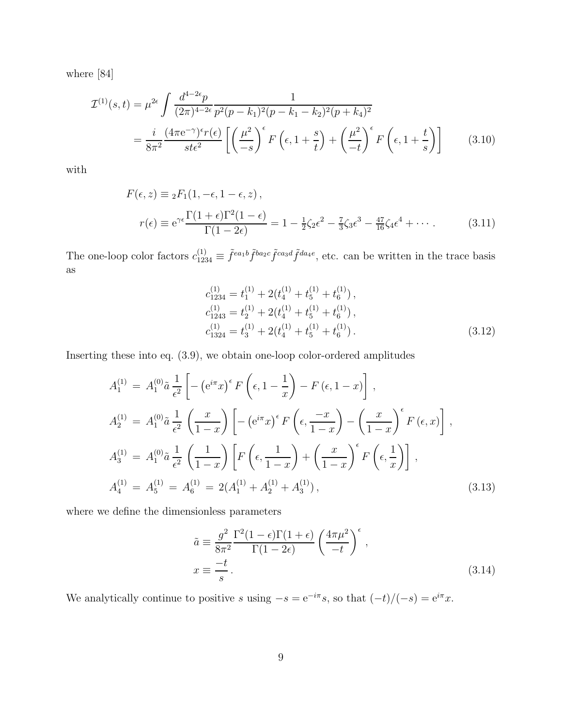where [84]

$$
\mathcal{I}^{(1)}(s,t) = \mu^{2\epsilon} \int \frac{d^{4-2\epsilon}p}{(2\pi)^{4-2\epsilon}} \frac{1}{p^2(p-k_1)^2(p-k_1-k_2)^2(p+k_4)^2}
$$
  
= 
$$
\frac{i}{8\pi^2} \frac{(4\pi e^{-\gamma})^{\epsilon}r(\epsilon)}{st\epsilon^2} \left[ \left(\frac{\mu^2}{-s}\right)^{\epsilon} F\left(\epsilon, 1+\frac{s}{t}\right) + \left(\frac{\mu^2}{-t}\right)^{\epsilon} F\left(\epsilon, 1+\frac{t}{s}\right) \right]
$$
(3.10)

with

$$
F(\epsilon, z) \equiv {}_{2}F_{1}(1, -\epsilon, 1-\epsilon, z),
$$
  
\n
$$
r(\epsilon) \equiv e^{\gamma \epsilon} \frac{\Gamma(1+\epsilon)\Gamma^{2}(1-\epsilon)}{\Gamma(1-2\epsilon)} = 1 - \frac{1}{2}\zeta_{2}\epsilon^{2} - \frac{7}{3}\zeta_{3}\epsilon^{3} - \frac{47}{16}\zeta_{4}\epsilon^{4} + \cdots
$$
 (3.11)

The one-loop color factors  $c_{1234}^{(1)} \equiv \tilde{f}^{ea_1b} \tilde{f}^{ba_2c} \tilde{f}^{ca_3d} \tilde{f}^{da_4e}$ , etc. can be written in the trace basis as

$$
c_{1234}^{(1)} = t_1^{(1)} + 2(t_4^{(1)} + t_5^{(1)} + t_6^{(1)}),
$$
  
\n
$$
c_{1243}^{(1)} = t_2^{(1)} + 2(t_4^{(1)} + t_5^{(1)} + t_6^{(1)}),
$$
  
\n
$$
c_{1324}^{(1)} = t_3^{(1)} + 2(t_4^{(1)} + t_5^{(1)} + t_6^{(1)}).
$$
\n(3.12)

Inserting these into eq. (3.9), we obtain one-loop color-ordered amplitudes

$$
A_1^{(1)} = A_1^{(0)} \tilde{a} \frac{1}{\epsilon^2} \left[ -\left( e^{i\pi} x \right)^{\epsilon} F \left( \epsilon, 1 - \frac{1}{x} \right) - F \left( \epsilon, 1 - x \right) \right],
$$
  
\n
$$
A_2^{(1)} = A_1^{(0)} \tilde{a} \frac{1}{\epsilon^2} \left( \frac{x}{1-x} \right) \left[ -\left( e^{i\pi} x \right)^{\epsilon} F \left( \epsilon, \frac{-x}{1-x} \right) - \left( \frac{x}{1-x} \right)^{\epsilon} F \left( \epsilon, x \right) \right],
$$
  
\n
$$
A_3^{(1)} = A_1^{(0)} \tilde{a} \frac{1}{\epsilon^2} \left( \frac{1}{1-x} \right) \left[ F \left( \epsilon, \frac{1}{1-x} \right) + \left( \frac{x}{1-x} \right)^{\epsilon} F \left( \epsilon, \frac{1}{x} \right) \right],
$$
  
\n
$$
A_4^{(1)} = A_5^{(1)} = A_6^{(1)} = 2(A_1^{(1)} + A_2^{(1)} + A_3^{(1)}),
$$
  
\n(3.13)

where we define the dimensionless parameters

$$
\tilde{a} \equiv \frac{g^2}{8\pi^2} \frac{\Gamma^2 (1 - \epsilon) \Gamma (1 + \epsilon)}{\Gamma (1 - 2\epsilon)} \left( \frac{4\pi \mu^2}{-t} \right)^{\epsilon},
$$
\n
$$
x \equiv \frac{-t}{s}.
$$
\n(3.14)

We analytically continue to positive s using  $-s = e^{-i\pi} s$ , so that  $(-t)/(-s) = e^{i\pi} x$ .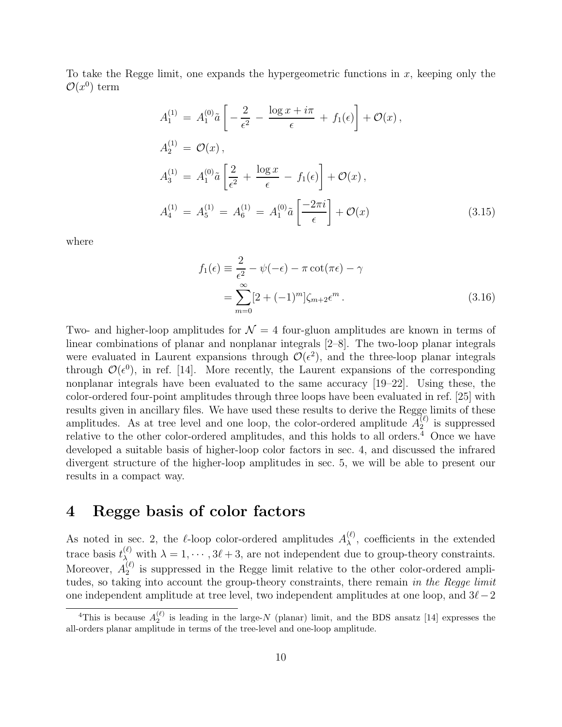To take the Regge limit, one expands the hypergeometric functions in  $x$ , keeping only the  $\mathcal{O}(x^0)$  term

$$
A_1^{(1)} = A_1^{(0)} \tilde{a} \left[ -\frac{2}{\epsilon^2} - \frac{\log x + i\pi}{\epsilon} + f_1(\epsilon) \right] + \mathcal{O}(x) ,
$$
  
\n
$$
A_2^{(1)} = \mathcal{O}(x) ,
$$
  
\n
$$
A_3^{(1)} = A_1^{(0)} \tilde{a} \left[ \frac{2}{\epsilon^2} + \frac{\log x}{\epsilon} - f_1(\epsilon) \right] + \mathcal{O}(x) ,
$$
  
\n
$$
A_4^{(1)} = A_5^{(1)} = A_6^{(1)} = A_1^{(0)} \tilde{a} \left[ \frac{-2\pi i}{\epsilon} \right] + \mathcal{O}(x) .
$$
\n(3.15)

where

$$
f_1(\epsilon) \equiv \frac{2}{\epsilon^2} - \psi(-\epsilon) - \pi \cot(\pi \epsilon) - \gamma
$$
  
= 
$$
\sum_{m=0}^{\infty} [2 + (-1)^m] \zeta_{m+2} \epsilon^m.
$$
 (3.16)

Two- and higher-loop amplitudes for  $\mathcal{N} = 4$  four-gluon amplitudes are known in terms of linear combinations of planar and nonplanar integrals [2–8]. The two-loop planar integrals were evaluated in Laurent expansions through  $\mathcal{O}(\epsilon^2)$ , and the three-loop planar integrals through  $\mathcal{O}(\epsilon^0)$ , in ref. [14]. More recently, the Laurent expansions of the corresponding nonplanar integrals have been evaluated to the same accuracy [19–22]. Using these, the color-ordered four-point amplitudes through three loops have been evaluated in ref. [25] with results given in ancillary files. We have used these results to derive the Regge limits of these amplitudes. As at tree level and one loop, the color-ordered amplitude  $A_2^{(\ell)}$  $2^{(t)}$  is suppressed relative to the other color-ordered amplitudes, and this holds to all orders. $4$  Once we have developed a suitable basis of higher-loop color factors in sec. 4, and discussed the infrared divergent structure of the higher-loop amplitudes in sec. 5, we will be able to present our results in a compact way.

# 4 Regge basis of color factors

As noted in sec. 2, the  $\ell$ -loop color-ordered amplitudes  $A_{\lambda}^{(\ell)}$  $\lambda^{(t)}$ , coefficients in the extended trace basis  $t_{\lambda}^{(\ell)}$  with  $\lambda = 1, \cdots, 3\ell + 3$ , are not independent due to group-theory constraints. Moreover,  $A_2^{(\ell)}$  $\frac{1}{2}$  is suppressed in the Regge limit relative to the other color-ordered amplitudes, so taking into account the group-theory constraints, there remain in the Regge limit one independent amplitude at tree level, two independent amplitudes at one loop, and  $3\ell-2$ 

<sup>&</sup>lt;sup>4</sup>This is because  $A_2^{(\ell)}$  is leading in the large-N (planar) limit, and the BDS ansatz [14] expresses the all-orders planar amplitude in terms of the tree-level and one-loop amplitude.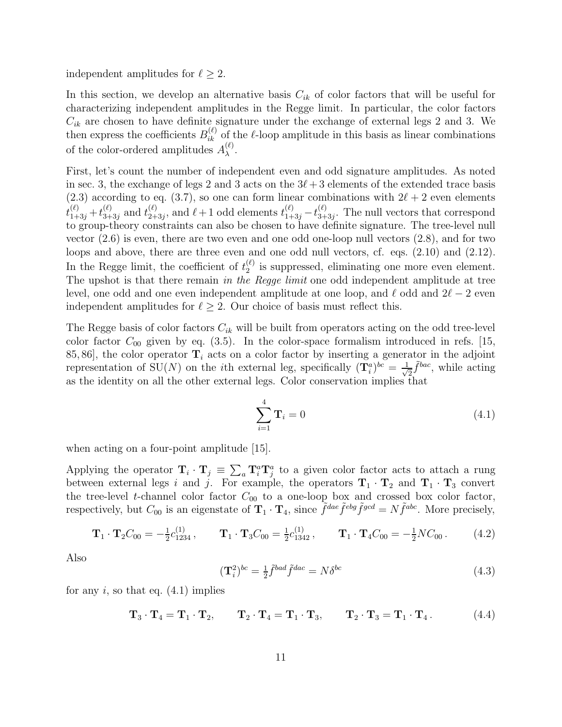independent amplitudes for  $\ell \geq 2$ .

In this section, we develop an alternative basis  $C_{ik}$  of color factors that will be useful for characterizing independent amplitudes in the Regge limit. In particular, the color factors  $C_{ik}$  are chosen to have definite signature under the exchange of external legs 2 and 3. We then express the coefficients  $B_{ik}^{(\ell)}$  of the  $\ell$ -loop amplitude in this basis as linear combinations of the color-ordered amplitudes  $A_{\lambda}^{(\ell)}$  $\lambda^{(\ell)}$ .

First, let's count the number of independent even and odd signature amplitudes. As noted in sec. 3, the exchange of legs 2 and 3 acts on the  $3\ell+3$  elements of the extended trace basis (2.3) according to eq. (3.7), so one can form linear combinations with  $2\ell + 2$  even elements  $t_{1+3j}^{(\ell)}+t_{3+}^{(\ell)}$  $_{3+3j}^{(\ell)}$  and  $t_{2+}^{(\ell)}$  $\chi_{(2+3j)}^{(\ell)}$ , and  $\ell+1$  odd elements  $t_{1+3j}^{(\ell)} - t_{3+1}^{(\ell)}$  $\frac{1}{3+3j}$ . The null vectors that correspond to group-theory constraints can also be chosen to have definite signature. The tree-level null vector  $(2.6)$  is even, there are two even and one odd one-loop null vectors  $(2.8)$ , and for two loops and above, there are three even and one odd null vectors, cf. eqs. (2.10) and (2.12). In the Regge limit, the coefficient of  $t_2^{(\ell)}$  $\binom{v}{2}$  is suppressed, eliminating one more even element. The upshot is that there remain in the Regge limit one odd independent amplitude at tree level, one odd and one even independent amplitude at one loop, and  $\ell$  odd and  $2\ell - 2$  even independent amplitudes for  $\ell \geq 2$ . Our choice of basis must reflect this.

The Regge basis of color factors  $C_{ik}$  will be built from operators acting on the odd tree-level color factor  $C_{00}$  given by eq. (3.5). In the color-space formalism introduced in refs. [15, 85, 86], the color operator  $\mathbf{T}_i$  acts on a color factor by inserting a generator in the adjoint representation of SU(N) on the *i*th external leg, specifically  $({\bf T}_i^a)^{bc} = \frac{1}{\sqrt{n}}$  $\frac{1}{2}\tilde{f}^{bac}$ , while acting as the identity on all the other external legs. Color conservation implies that

$$
\sum_{i=1}^{4} \mathbf{T}_i = 0 \tag{4.1}
$$

when acting on a four-point amplitude [15].

Applying the operator  $\mathbf{T}_i \cdot \mathbf{T}_j \equiv \sum_a \mathbf{T}_i^a \mathbf{T}_j^a$  to a given color factor acts to attach a rung between external legs i and j. For example, the operators  $\mathbf{T}_1 \cdot \mathbf{T}_2$  and  $\mathbf{T}_1 \cdot \mathbf{T}_3$  convert the tree-level t-channel color factor  $C_{00}$  to a one-loop box and crossed box color factor, respectively, but  $C_{00}$  is an eigenstate of  $\mathbf{T}_1 \cdot \mathbf{T}_4$ , since  $\tilde{f}^{dae}\tilde{f}^{ebg}\tilde{f}^{gcd} = N\tilde{f}^{abc}$ . More precisely,

$$
\mathbf{T}_{1} \cdot \mathbf{T}_{2} C_{00} = -\frac{1}{2} c_{1234}^{(1)}, \qquad \mathbf{T}_{1} \cdot \mathbf{T}_{3} C_{00} = \frac{1}{2} c_{1342}^{(1)}, \qquad \mathbf{T}_{1} \cdot \mathbf{T}_{4} C_{00} = -\frac{1}{2} N C_{00}. \tag{4.2}
$$

Also

$$
(\mathbf{T}_i^2)^{bc} = \frac{1}{2} \tilde{f}^{bad} \tilde{f}^{dac} = N \delta^{bc} \tag{4.3}
$$

for any i, so that eq.  $(4.1)$  implies

$$
\mathbf{T}_3 \cdot \mathbf{T}_4 = \mathbf{T}_1 \cdot \mathbf{T}_2, \qquad \mathbf{T}_2 \cdot \mathbf{T}_4 = \mathbf{T}_1 \cdot \mathbf{T}_3, \qquad \mathbf{T}_2 \cdot \mathbf{T}_3 = \mathbf{T}_1 \cdot \mathbf{T}_4. \tag{4.4}
$$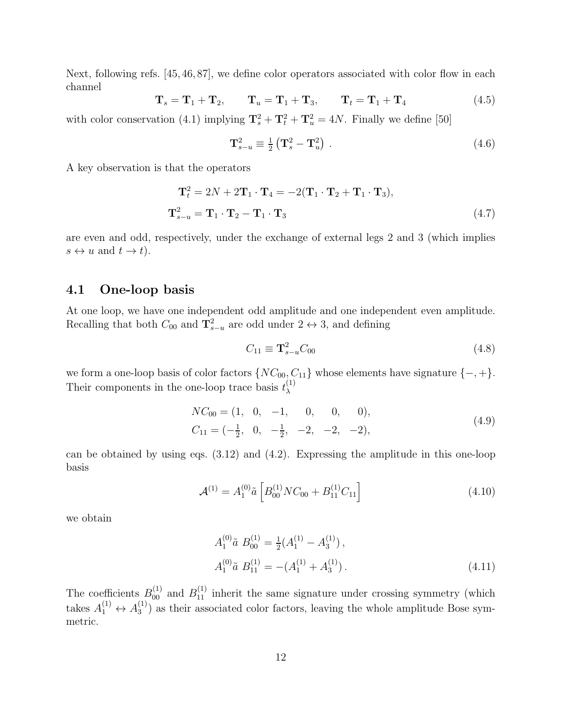Next, following refs. [45, 46, 87], we define color operators associated with color flow in each channel

$$
\mathbf{T}_s = \mathbf{T}_1 + \mathbf{T}_2, \qquad \mathbf{T}_u = \mathbf{T}_1 + \mathbf{T}_3, \qquad \mathbf{T}_t = \mathbf{T}_1 + \mathbf{T}_4 \tag{4.5}
$$

with color conservation (4.1) implying  $\mathbf{T}_s^2 + \mathbf{T}_t^2 + \mathbf{T}_u^2 = 4N$ . Finally we define [50]

$$
\mathbf{T}_{s-u}^2 \equiv \frac{1}{2} \left( \mathbf{T}_s^2 - \mathbf{T}_u^2 \right) . \tag{4.6}
$$

A key observation is that the operators

$$
\mathbf{T}_t^2 = 2N + 2\mathbf{T}_1 \cdot \mathbf{T}_4 = -2(\mathbf{T}_1 \cdot \mathbf{T}_2 + \mathbf{T}_1 \cdot \mathbf{T}_3),
$$
  

$$
\mathbf{T}_{s-u}^2 = \mathbf{T}_1 \cdot \mathbf{T}_2 - \mathbf{T}_1 \cdot \mathbf{T}_3
$$
 (4.7)

are even and odd, respectively, under the exchange of external legs 2 and 3 (which implies  $s \leftrightarrow u$  and  $t \to t$ ).

### 4.1 One-loop basis

At one loop, we have one independent odd amplitude and one independent even amplitude. Recalling that both  $C_{00}$  and  $\mathbf{T}_{s-u}^2$  are odd under  $2 \leftrightarrow 3$ , and defining

$$
C_{11} \equiv \mathbf{T}_{s-u}^2 C_{00} \tag{4.8}
$$

we form a one-loop basis of color factors  $\{NC_{00}, C_{11}\}$  whose elements have signature  $\{-, +\}.$ Their components in the one-loop trace basis  $t_{\lambda}^{(1)}$ λ

$$
NC_{00} = (1, 0, -1, 0, 0, 0),
$$
  
\n
$$
C_{11} = \left(-\frac{1}{2}, 0, -\frac{1}{2}, -2, -2, -2\right),
$$
\n(4.9)

can be obtained by using eqs. (3.12) and (4.2). Expressing the amplitude in this one-loop basis

$$
\mathcal{A}^{(1)} = A_1^{(0)} \tilde{a} \left[ B_{00}^{(1)} N C_{00} + B_{11}^{(1)} C_{11} \right] \tag{4.10}
$$

we obtain

$$
A_1^{(0)}\tilde{a} \ B_{00}^{(1)} = \frac{1}{2}(A_1^{(1)} - A_3^{(1)}),
$$
  
\n
$$
A_1^{(0)}\tilde{a} \ B_{11}^{(1)} = -(A_1^{(1)} + A_3^{(1)}).
$$
\n(4.11)

The coefficients  $B_{00}^{(1)}$  and  $B_{11}^{(1)}$  inherit the same signature under crossing symmetry (which takes  $A_1^{(1)} \leftrightarrow A_3^{(1)}$  $3^{(1)}$ ) as their associated color factors, leaving the whole amplitude Bose symmetric.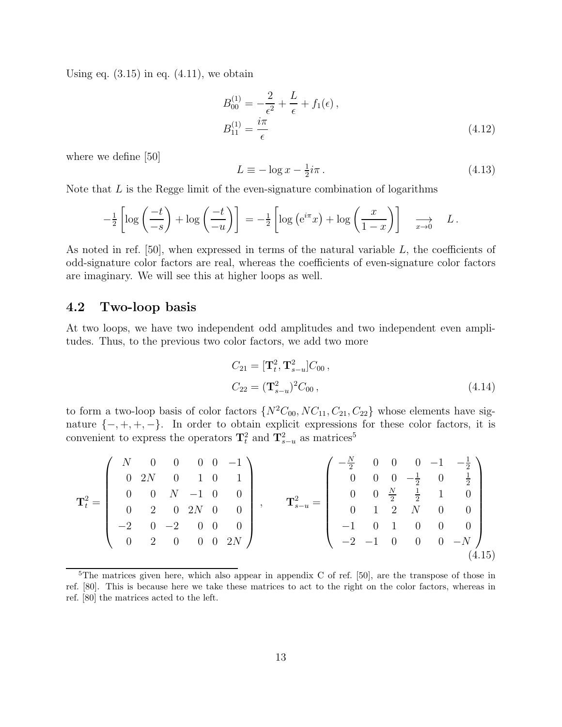Using eq.  $(3.15)$  in eq.  $(4.11)$ , we obtain

$$
B_{00}^{(1)} = -\frac{2}{\epsilon^2} + \frac{L}{\epsilon} + f_1(\epsilon),
$$
  
\n
$$
B_{11}^{(1)} = \frac{i\pi}{\epsilon}
$$
\n(4.12)

where we define [50]

$$
L \equiv -\log x - \frac{1}{2}i\pi. \tag{4.13}
$$

Note that  $L$  is the Regge limit of the even-signature combination of logarithms

$$
-\frac{1}{2}\left[\log\left(\frac{-t}{-s}\right)+\log\left(\frac{-t}{-u}\right)\right] = -\frac{1}{2}\left[\log\left(e^{i\pi}x\right)+\log\left(\frac{x}{1-x}\right)\right] \implies L.
$$

As noted in ref.  $[50]$ , when expressed in terms of the natural variable  $L$ , the coefficients of odd-signature color factors are real, whereas the coefficients of even-signature color factors are imaginary. We will see this at higher loops as well.

### 4.2 Two-loop basis

At two loops, we have two independent odd amplitudes and two independent even amplitudes. Thus, to the previous two color factors, we add two more

$$
C_{21} = [\mathbf{T}_t^2, \mathbf{T}_{s-u}^2] C_{00},
$$
  
\n
$$
C_{22} = (\mathbf{T}_{s-u}^2)^2 C_{00},
$$
\n(4.14)

to form a two-loop basis of color factors  $\{N^2C_{00}, NC_{11}, C_{21}, C_{22}\}$  whose elements have signature  $\{-, +, +, -\}$ . In order to obtain explicit expressions for these color factors, it is convenient to express the operators  $\mathbf{T}_t^2$  and  $\mathbf{T}_{s-u}^2$  as matrices<sup>5</sup>

$$
\mathbf{T}_{t}^{2} = \begin{pmatrix} N & 0 & 0 & 0 & 0 & -1 \\ 0 & 2N & 0 & 1 & 0 & 1 \\ 0 & 0 & N & -1 & 0 & 0 \\ 0 & 2 & 0 & 2N & 0 & 0 \\ -2 & 0 & -2 & 0 & 0 & 0 \\ 0 & 2 & 0 & 0 & 0 & 2N \end{pmatrix}, \qquad \mathbf{T}_{s-u}^{2} = \begin{pmatrix} -\frac{N}{2} & 0 & 0 & 0 & -1 & -\frac{1}{2} \\ 0 & 0 & 0 & -\frac{1}{2} & 0 & \frac{1}{2} \\ 0 & 0 & \frac{N}{2} & \frac{1}{2} & 1 & 0 \\ 0 & 1 & 2 & N & 0 & 0 \\ -1 & 0 & 1 & 0 & 0 & 0 \\ -2 & -1 & 0 & 0 & 0 & -N \end{pmatrix}
$$
(4.15)

 $5$ The matrices given here, which also appear in appendix C of ref. [50], are the transpose of those in ref. [80]. This is because here we take these matrices to act to the right on the color factors, whereas in ref. [80] the matrices acted to the left.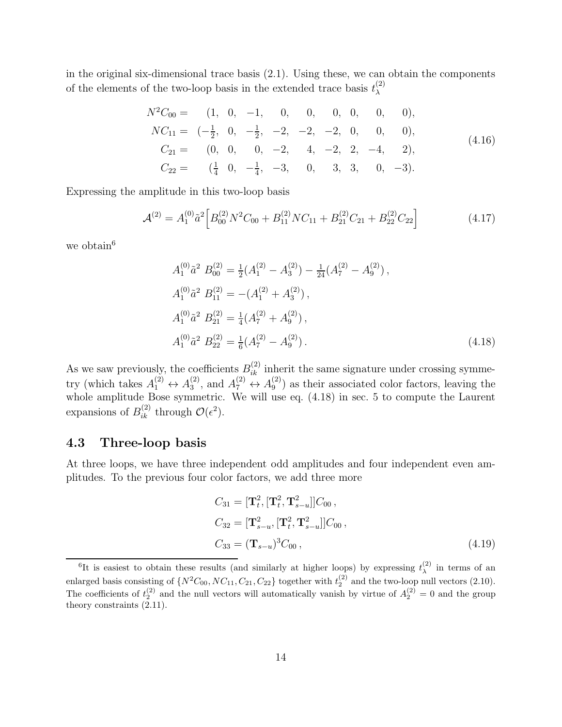in the original six-dimensional trace basis (2.1). Using these, we can obtain the components of the elements of the two-loop basis in the extended trace basis  $t_{\lambda}^{(2)}$ λ

$$
N^{2}C_{00} = (1, 0, -1, 0, 0, 0, 0, 0, 0),
$$
  
\n
$$
NC_{11} = (-\frac{1}{2}, 0, -\frac{1}{2}, -2, -2, -2, 0, 0, 0),
$$
  
\n
$$
C_{21} = (0, 0, 0, -2, 4, -2, 2, -4, 2),
$$
  
\n
$$
C_{22} = (\frac{1}{4}, 0, -\frac{1}{4}, -3, 0, 3, 3, 0, -3).
$$
\n(4.16)

Expressing the amplitude in this two-loop basis

$$
\mathcal{A}^{(2)} = A_1^{(0)} \tilde{a}^2 \left[ B_{00}^{(2)} N^2 C_{00} + B_{11}^{(2)} N C_{11} + B_{21}^{(2)} C_{21} + B_{22}^{(2)} C_{22} \right]
$$
(4.17)

we obtain<sup>6</sup>

$$
A_1^{(0)} \tilde{a}^2 B_{00}^{(2)} = \frac{1}{2} (A_1^{(2)} - A_3^{(2)}) - \frac{1}{24} (A_7^{(2)} - A_9^{(2)}),
$$
  
\n
$$
A_1^{(0)} \tilde{a}^2 B_{11}^{(2)} = -(A_1^{(2)} + A_3^{(2)}),
$$
  
\n
$$
A_1^{(0)} \tilde{a}^2 B_{21}^{(2)} = \frac{1}{4} (A_7^{(2)} + A_9^{(2)}),
$$
  
\n
$$
A_1^{(0)} \tilde{a}^2 B_{22}^{(2)} = \frac{1}{6} (A_7^{(2)} - A_9^{(2)}).
$$
\n(4.18)

As we saw previously, the coefficients  $B_{ik}^{(2)}$  inherit the same signature under crossing symmetry (which takes  $A_1^{(2)} \leftrightarrow A_3^{(2)}$  $A_3^{(2)}$ , and  $A_7^{(2)} \leftrightarrow A_9^{(2)}$  $\binom{2}{9}$  as their associated color factors, leaving the whole amplitude Bose symmetric. We will use eq. (4.18) in sec. 5 to compute the Laurent expansions of  $B_{ik}^{(2)}$  through  $\mathcal{O}(\epsilon^2)$ .

#### 4.3 Three-loop basis

At three loops, we have three independent odd amplitudes and four independent even amplitudes. To the previous four color factors, we add three more

$$
C_{31} = [\mathbf{T}_t^2, [\mathbf{T}_t^2, \mathbf{T}_{s-u}^2]] C_{00},
$$
  
\n
$$
C_{32} = [\mathbf{T}_{s-u}^2, [\mathbf{T}_t^2, \mathbf{T}_{s-u}^2]] C_{00},
$$
  
\n
$$
C_{33} = (\mathbf{T}_{s-u})^3 C_{00},
$$
\n(4.19)

<sup>&</sup>lt;sup>6</sup>It is easiest to obtain these results (and similarly at higher loops) by expressing  $t_{\lambda}^{(2)}$  $\lambda^{(2)}$  in terms of an enlarged basis consisting of  $\{N^2C_{00}, NC_{11}, C_{21}, C_{22}\}$  together with  $t_2^{(2)}$  and the two-loop null vectors (2.10). The coefficients of  $t_2^{(2)}$  and the null vectors will automatically vanish by virtue of  $A_2^{(2)} = 0$  and the group theory constraints (2.11).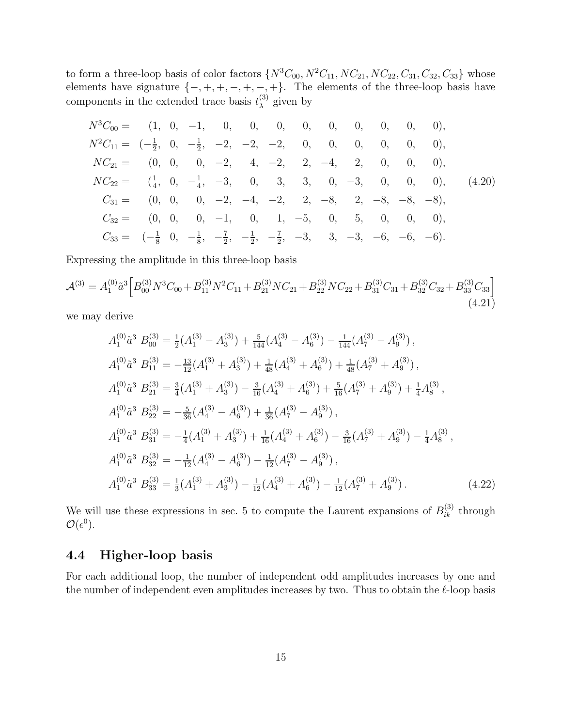to form a three-loop basis of color factors  $\{N^3C_{00}, N^2C_{11}, NC_{21}, NC_{22}, C_{31}, C_{32}, C_{33}\}$  whose elements have signature  $\{-, +, +, -, +, -, +\}$ . The elements of the three-loop basis have components in the extended trace basis  $t_{\lambda}^{(3)}$  $\lambda^{(5)}$  given by

$$
N^{3}C_{00} = (1, 0, -1, 0, 0, 0, 0, 0, 0, 0, 0, 0),
$$
  
\n
$$
N^{2}C_{11} = (-\frac{1}{2}, 0, -\frac{1}{2}, -2, -2, -2, 0, 0, 0, 0, 0, 0),
$$
  
\n
$$
NC_{21} = (0, 0, 0, -2, 4, -2, 2, -4, 2, 0, 0, 0),
$$
  
\n
$$
NC_{22} = (\frac{1}{4}, 0, -\frac{1}{4}, -3, 0, 3, 3, 0, -3, 0, 0, 0),
$$
  
\n
$$
C_{31} = (0, 0, 0, -2, -4, -2, 2, -8, 2, -8, -8),
$$
  
\n
$$
C_{32} = (0, 0, 0, -1, 0, 1, -5, 0, 5, 0, 0, 0),
$$
  
\n
$$
C_{33} = (-\frac{1}{8}, 0, -\frac{1}{8}, -\frac{7}{2}, -\frac{1}{2}, -\frac{7}{2}, -3, 3, -3, -6, -6, -6).
$$
  
\n(4.20)

Expressing the amplitude in this three-loop basis

$$
\mathcal{A}^{(3)} = A_1^{(0)} \tilde{a}^3 \left[ B_{00}^{(3)} N^3 C_{00} + B_{11}^{(3)} N^2 C_{11} + B_{21}^{(3)} N C_{21} + B_{22}^{(3)} N C_{22} + B_{31}^{(3)} C_{31} + B_{32}^{(3)} C_{32} + B_{33}^{(3)} C_{33} \right]
$$
\n
$$
(4.21)
$$

we may derive

$$
A_1^{(0)}\tilde{a}^3 B_{00}^{(3)} = \frac{1}{2}(A_1^{(3)} - A_3^{(3)}) + \frac{5}{144}(A_4^{(3)} - A_6^{(3)}) - \frac{1}{144}(A_7^{(3)} - A_9^{(3)}),
$$
  
\n
$$
A_1^{(0)}\tilde{a}^3 B_{11}^{(3)} = -\frac{13}{12}(A_1^{(3)} + A_3^{(3)}) + \frac{1}{48}(A_4^{(3)} + A_6^{(3)}) + \frac{1}{48}(A_7^{(3)} + A_9^{(3)}),
$$
  
\n
$$
A_1^{(0)}\tilde{a}^3 B_{21}^{(3)} = \frac{3}{4}(A_1^{(3)} + A_3^{(3)}) - \frac{3}{16}(A_4^{(3)} + A_6^{(3)}) + \frac{5}{16}(A_7^{(3)} + A_9^{(3)}) + \frac{1}{4}A_8^{(3)},
$$
  
\n
$$
A_1^{(0)}\tilde{a}^3 B_{22}^{(3)} = -\frac{5}{36}(A_4^{(3)} - A_6^{(3)}) + \frac{1}{36}(A_7^{(3)} - A_9^{(3)}),
$$
  
\n
$$
A_1^{(0)}\tilde{a}^3 B_{31}^{(3)} = -\frac{1}{4}(A_1^{(3)} + A_3^{(3)}) + \frac{1}{16}(A_4^{(3)} + A_6^{(3)}) - \frac{3}{16}(A_7^{(3)} + A_9^{(3)}) - \frac{1}{4}A_8^{(3)},
$$
  
\n
$$
A_1^{(0)}\tilde{a}^3 B_{32}^{(3)} = -\frac{1}{12}(A_4^{(3)} - A_6^{(3)}) - \frac{1}{12}(A_7^{(3)} - A_9^{(3)}),
$$
  
\n
$$
A_1^{(0)}\tilde{a}^3 B_{33}^{(3)} = \frac{1}{3}(A_1^{(3)} + A_3^{(3)}) - \frac{1}{12}(A_4^{(3)} + A_6^{(3)}) - \frac{1}{12}(A_7^{(3)} + A_9^{(3)}).
$$
  
\n(4.22)

We will use these expressions in sec. 5 to compute the Laurent expansions of  $B_{ik}^{(3)}$  through  $\mathcal{O}(\epsilon^0)$ .

### 4.4 Higher-loop basis

For each additional loop, the number of independent odd amplitudes increases by one and the number of independent even amplitudes increases by two. Thus to obtain the  $\ell$ -loop basis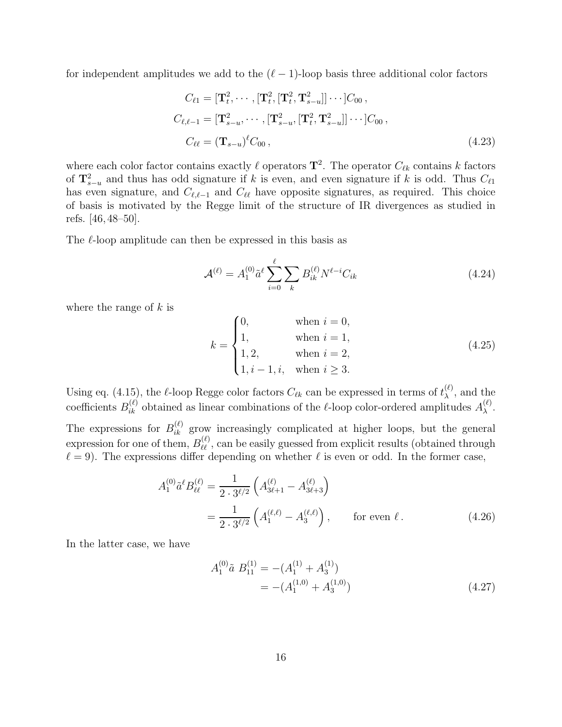for independent amplitudes we add to the  $(\ell-1)$ -loop basis three additional color factors

$$
C_{\ell 1} = [\mathbf{T}_t^2, \cdots, [\mathbf{T}_t^2, [\mathbf{T}_t^2, \mathbf{T}_{s-u}^2]] \cdots] C_{00},
$$
  
\n
$$
C_{\ell, \ell-1} = [\mathbf{T}_{s-u}^2, \cdots, [\mathbf{T}_{s-u}^2, [\mathbf{T}_t^2, \mathbf{T}_{s-u}^2]] \cdots] C_{00},
$$
  
\n
$$
C_{\ell \ell} = (\mathbf{T}_{s-u})^{\ell} C_{00},
$$
\n(4.23)

where each color factor contains exactly  $\ell$  operators  $\mathbf{T}^2$ . The operator  $C_{\ell k}$  contains k factors of  $\mathbf{T}_{s-u}^2$  and thus has odd signature if k is even, and even signature if k is odd. Thus  $C_{\ell1}$ has even signature, and  $C_{\ell,\ell-1}$  and  $C_{\ell\ell}$  have opposite signatures, as required. This choice of basis is motivated by the Regge limit of the structure of IR divergences as studied in refs. [46, 48–50].

The  $\ell$ -loop amplitude can then be expressed in this basis as

$$
\mathcal{A}^{(\ell)} = A_1^{(0)} \tilde{a}^\ell \sum_{i=0}^{\ell} \sum_k B_{ik}^{(\ell)} N^{\ell-i} C_{ik}
$$
 (4.24)

where the range of  $k$  is

$$
k = \begin{cases} 0, & \text{when } i = 0, \\ 1, & \text{when } i = 1, \\ 1, 2, & \text{when } i = 2, \\ 1, i - 1, i, & \text{when } i \ge 3. \end{cases}
$$
 (4.25)

Using eq. (4.15), the  $\ell$ -loop Regge color factors  $C_{\ell k}$  can be expressed in terms of  $t_{\lambda}^{(\ell)}$  $\lambda^{(\ell)}$ , and the coefficients  $B_{ik}^{(\ell)}$  obtained as linear combinations of the  $\ell$ -loop color-ordered amplitudes  $A_{\lambda}^{(\ell)}$ λ .

The expressions for  $B_{ik}^{(\ell)}$  grow increasingly complicated at higher loops, but the general expression for one of them,  $B_{\ell\ell}^{(\ell)}$ , can be easily guessed from explicit results (obtained through  $\ell = 9$ . The expressions differ depending on whether  $\ell$  is even or odd. In the former case,

$$
A_1^{(0)} \tilde{a}^{\ell} B_{\ell\ell}^{(\ell)} = \frac{1}{2 \cdot 3^{\ell/2}} \left( A_{3\ell+1}^{(\ell)} - A_{3\ell+3}^{(\ell)} \right)
$$
  
= 
$$
\frac{1}{2 \cdot 3^{\ell/2}} \left( A_1^{(\ell,\ell)} - A_3^{(\ell,\ell)} \right), \qquad \text{for even } \ell.
$$
 (4.26)

In the latter case, we have

A

$$
A_1^{(0)}\tilde{a} \ B_{11}^{(1)} = -(A_1^{(1)} + A_3^{(1)})
$$
  
= -(A\_1^{(1,0)} + A\_3^{(1,0)}) (4.27)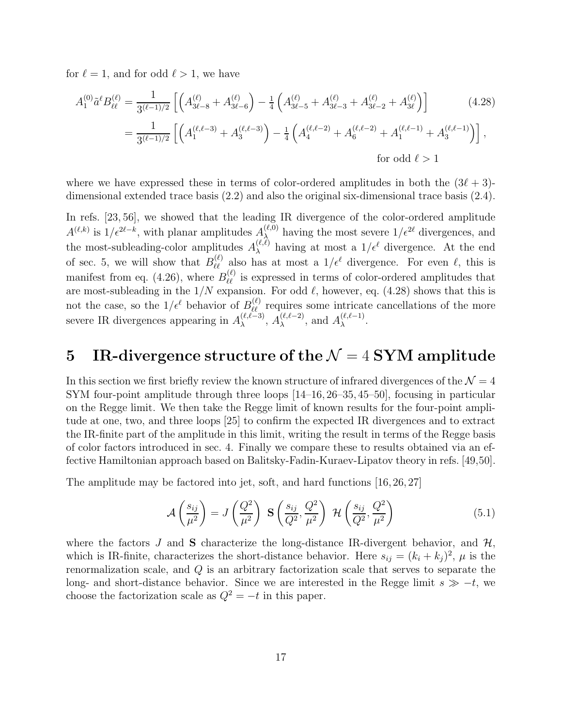for  $\ell = 1$ , and for odd  $\ell > 1$ , we have

$$
A_1^{(0)} \tilde{a}^{\ell} B_{\ell\ell}^{(\ell)} = \frac{1}{3^{(\ell-1)/2}} \left[ \left( A_{3\ell-8}^{(\ell)} + A_{3\ell-6}^{(\ell)} \right) - \frac{1}{4} \left( A_{3\ell-5}^{(\ell)} + A_{3\ell-3}^{(\ell)} + A_{3\ell-2}^{(\ell)} + A_{3\ell}^{(\ell)} \right) \right] \tag{4.28}
$$
  
= 
$$
\frac{1}{3^{(\ell-1)/2}} \left[ \left( A_1^{(\ell,\ell-3)} + A_3^{(\ell,\ell-3)} \right) - \frac{1}{4} \left( A_4^{(\ell,\ell-2)} + A_6^{(\ell,\ell-2)} + A_1^{(\ell,\ell-1)} + A_3^{(\ell,\ell-1)} \right) \right],
$$
  
for odd  $\ell > 1$ 

where we have expressed these in terms of color-ordered amplitudes in both the  $(3\ell + 3)$ dimensional extended trace basis (2.2) and also the original six-dimensional trace basis (2.4).

In refs. [23, 56], we showed that the leading IR divergence of the color-ordered amplitude  $A^{(\ell,k)}$  is  $1/\epsilon^{2\ell-k}$ , with planar amplitudes  $A_{\lambda}^{(\ell,0)}$  $\lambda_{\lambda}^{(\ell,0)}$  having the most severe  $1/\epsilon^{2\ell}$  divergences, and the most-subleading-color amplitudes  $A_{\lambda}^{(\ell,\ell)}$  having at most a  $1/\epsilon^{\ell}$  divergence. At the end of sec. 5, we will show that  $B_{\ell\ell}^{(\ell)}$  also has at most a  $1/\epsilon^{\ell}$  divergence. For even  $\ell$ , this is manifest from eq. (4.26), where  $B_{\ell\ell}^{(\ell)}$  is expressed in terms of color-ordered amplitudes that are most-subleading in the  $1/N$  expansion. For odd  $\ell$ , however, eq. (4.28) shows that this is not the case, so the  $1/\epsilon^{\ell}$  behavior of  $B_{\ell\ell}^{(\ell)}$  requires some intricate cancellations of the more severe IR divergences appearing in  $A_{\lambda}^{(\ell,\ell-3)}$ ,  $A_{\lambda}^{(\ell,\ell-2)}$ , and  $A_{\lambda}^{(\ell,\ell-1)}$ .

# 5 IR-divergence structure of the  $\mathcal{N}=4$  SYM amplitude

In this section we first briefly review the known structure of infrared divergences of the  $\mathcal{N}=4$ SYM four-point amplitude through three loops [14–16, 26–35, 45–50], focusing in particular on the Regge limit. We then take the Regge limit of known results for the four-point amplitude at one, two, and three loops [25] to confirm the expected IR divergences and to extract the IR-finite part of the amplitude in this limit, writing the result in terms of the Regge basis of color factors introduced in sec. 4. Finally we compare these to results obtained via an effective Hamiltonian approach based on Balitsky-Fadin-Kuraev-Lipatov theory in refs. [49,50].

The amplitude may be factored into jet, soft, and hard functions [16, 26, 27]

$$
\mathcal{A}\left(\frac{s_{ij}}{\mu^2}\right) = J\left(\frac{Q^2}{\mu^2}\right) \mathbf{S}\left(\frac{s_{ij}}{Q^2}, \frac{Q^2}{\mu^2}\right) \mathcal{H}\left(\frac{s_{ij}}{Q^2}, \frac{Q^2}{\mu^2}\right) \tag{5.1}
$$

where the factors J and **S** characterize the long-distance IR-divergent behavior, and  $H$ , which is IR-finite, characterizes the short-distance behavior. Here  $s_{ij} = (k_i + k_j)^2$ ,  $\mu$  is the renormalization scale, and Q is an arbitrary factorization scale that serves to separate the long- and short-distance behavior. Since we are interested in the Regge limit  $s \gg -t$ , we choose the factorization scale as  $Q^2 = -t$  in this paper.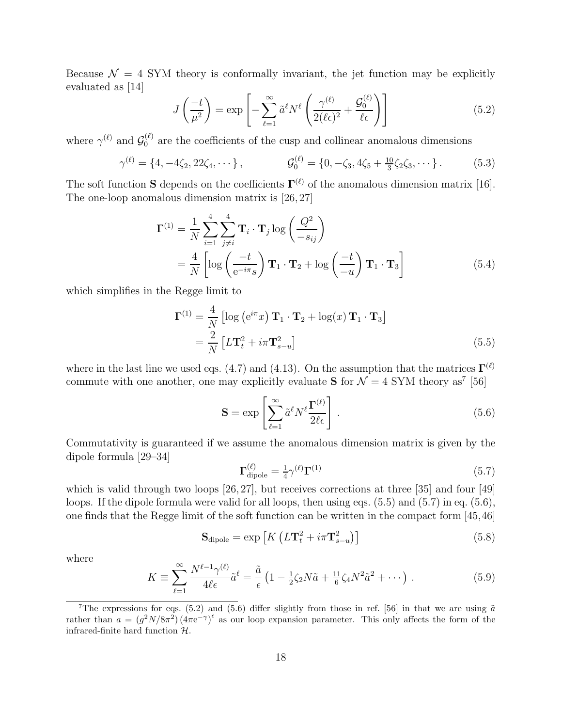Because  $\mathcal{N} = 4$  SYM theory is conformally invariant, the jet function may be explicitly evaluated as [14]

$$
J\left(\frac{-t}{\mu^2}\right) = \exp\left[-\sum_{\ell=1}^{\infty} \tilde{a}^{\ell} N^{\ell} \left(\frac{\gamma^{(\ell)}}{2(\ell\epsilon)^2} + \frac{\mathcal{G}_0^{(\ell)}}{\ell\epsilon}\right)\right]
$$
(5.2)

where  $\gamma^{(\ell)}$  and  $\mathcal{G}_0^{(\ell)}$  are the coefficients of the cusp and collinear anomalous dimensions

$$
\gamma^{(\ell)} = \{4, -4\zeta_2, 22\zeta_4, \cdots\}, \qquad \mathcal{G}_0^{(\ell)} = \{0, -\zeta_3, 4\zeta_5 + \frac{10}{3}\zeta_2\zeta_3, \cdots\}.
$$
 (5.3)

The soft function **S** depends on the coefficients  $\Gamma^{(\ell)}$  of the anomalous dimension matrix [16]. The one-loop anomalous dimension matrix is [26, 27]

$$
\mathbf{\Gamma}^{(1)} = \frac{1}{N} \sum_{i=1}^{4} \sum_{j \neq i}^{4} \mathbf{T}_{i} \cdot \mathbf{T}_{j} \log \left( \frac{Q^{2}}{-s_{ij}} \right)
$$
  
= 
$$
\frac{4}{N} \left[ \log \left( \frac{-t}{e^{-i\pi} s} \right) \mathbf{T}_{1} \cdot \mathbf{T}_{2} + \log \left( \frac{-t}{-u} \right) \mathbf{T}_{1} \cdot \mathbf{T}_{3} \right]
$$
(5.4)

which simplifies in the Regge limit to

$$
\mathbf{\Gamma}^{(1)} = \frac{4}{N} \left[ \log \left( e^{i\pi} x \right) \mathbf{T}_1 \cdot \mathbf{T}_2 + \log(x) \mathbf{T}_1 \cdot \mathbf{T}_3 \right]
$$

$$
= \frac{2}{N} \left[ L \mathbf{T}_t^2 + i\pi \mathbf{T}_{s-u}^2 \right]
$$
(5.5)

where in the last line we used eqs. (4.7) and (4.13). On the assumption that the matrices  $\Gamma^{(\ell)}$ commute with one another, one may explicitly evaluate **S** for  $\mathcal{N} = 4$  SYM theory as<sup>7</sup> [56]

$$
\mathbf{S} = \exp\left[\sum_{\ell=1}^{\infty} \tilde{a}^{\ell} N^{\ell} \frac{\mathbf{\Gamma}^{(\ell)}}{2\ell\epsilon}\right].
$$
 (5.6)

Commutativity is guaranteed if we assume the anomalous dimension matrix is given by the dipole formula [29–34]

$$
\Gamma_{\text{dipole}}^{(\ell)} = \frac{1}{4} \gamma^{(\ell)} \Gamma^{(1)} \tag{5.7}
$$

which is valid through two loops [26, 27], but receives corrections at three [35] and four [49] loops. If the dipole formula were valid for all loops, then using eqs. (5.5) and (5.7) in eq. (5.6), one finds that the Regge limit of the soft function can be written in the compact form [45,46]

$$
\mathbf{S}_{\text{dipole}} = \exp\left[K\left(L\mathbf{T}_t^2 + i\pi \mathbf{T}_{s-u}^2\right)\right] \tag{5.8}
$$

where

$$
K \equiv \sum_{\ell=1}^{\infty} \frac{N^{\ell-1} \gamma^{(\ell)}}{4\ell \epsilon} \tilde{a}^{\ell} = \frac{\tilde{a}}{\epsilon} \left( 1 - \frac{1}{2} \zeta_2 N \tilde{a} + \frac{11}{6} \zeta_4 N^2 \tilde{a}^2 + \cdots \right) . \tag{5.9}
$$

<sup>&</sup>lt;sup>7</sup>The expressions for eqs. (5.2) and (5.6) differ slightly from those in ref. [56] in that we are using  $\tilde{a}$ rather than  $a = (g^2 N/8\pi^2) (4\pi e^{-\gamma})^{\epsilon}$  as our loop expansion parameter. This only affects the form of the infrared-finite hard function H.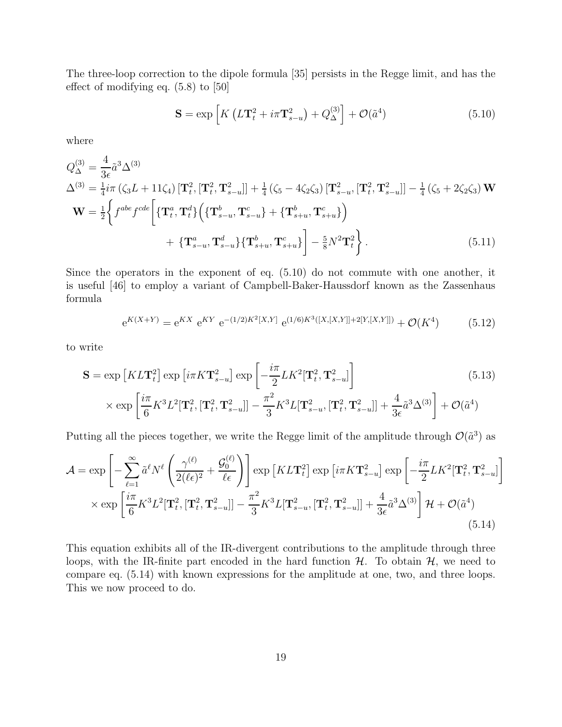The three-loop correction to the dipole formula [35] persists in the Regge limit, and has the effect of modifying eq. (5.8) to [50]

$$
\mathbf{S} = \exp\left[K\left(L\mathbf{T}_{t}^{2} + i\pi\mathbf{T}_{s-u}^{2}\right) + Q_{\Delta}^{(3)}\right] + \mathcal{O}(\tilde{a}^{4})\tag{5.10}
$$

where

$$
Q_{\Delta}^{(3)} = \frac{4}{3\epsilon} \tilde{a}^{3} \Delta^{(3)}
$$
  
\n
$$
\Delta^{(3)} = \frac{1}{4} i\pi \left( \zeta_{3} L + 11 \zeta_{4} \right) \left[ \mathbf{T}_{t}^{2}, \left[ \mathbf{T}_{t}^{2}, \mathbf{T}_{s-u}^{2} \right] \right] + \frac{1}{4} \left( \zeta_{5} - 4 \zeta_{2} \zeta_{3} \right) \left[ \mathbf{T}_{s-u}^{2}, \left[ \mathbf{T}_{t}^{2}, \mathbf{T}_{s-u}^{2} \right] \right] - \frac{1}{4} \left( \zeta_{5} + 2 \zeta_{2} \zeta_{3} \right) \mathbf{W}
$$
  
\n
$$
\mathbf{W} = \frac{1}{2} \left\{ f^{abe} f^{cde} \left[ \left\{ \mathbf{T}_{t}^{a}, \mathbf{T}_{t}^{d} \right\} \left( \left\{ \mathbf{T}_{s-u}^{b}, \mathbf{T}_{s-u}^{c} \right\} + \left\{ \mathbf{T}_{s+u}^{b}, \mathbf{T}_{s+u}^{c} \right\} \right) \right. \\ \left. + \left\{ \mathbf{T}_{s-u}^{a}, \mathbf{T}_{s-u}^{d} \right\} \left[ \mathbf{T}_{s+u}^{b}, \mathbf{T}_{s+u}^{c} \right\} \right] - \frac{5}{8} N^{2} \mathbf{T}_{t}^{2} \right\}.
$$
\n(5.11)

Since the operators in the exponent of eq. (5.10) do not commute with one another, it is useful [46] to employ a variant of Campbell-Baker-Haussdorf known as the Zassenhaus formula

$$
e^{K(X+Y)} = e^{KX} e^{KY} e^{-(1/2)K^2[X,Y]} e^{(1/6)K^3([X,[X,Y]]+2[Y,[X,Y]])} + \mathcal{O}(K^4)
$$
(5.12)

to write

$$
\mathbf{S} = \exp\left[KL\mathbf{T}_t^2\right] \exp\left[i\pi K\mathbf{T}_{s-u}^2\right] \exp\left[-\frac{i\pi}{2}LK^2[\mathbf{T}_t^2, \mathbf{T}_{s-u}^2]\right] \times \exp\left[\frac{i\pi}{6}K^3L^2[\mathbf{T}_t^2, [\mathbf{T}_t^2, \mathbf{T}_{s-u}^2]] - \frac{\pi^2}{3}K^3L[\mathbf{T}_{s-u}^2, [\mathbf{T}_t^2, \mathbf{T}_{s-u}^2]] + \frac{4}{3\epsilon}\tilde{a}^3\Delta^{(3)}\right] + \mathcal{O}(\tilde{a}^4)
$$
\n(5.13)

Putting all the pieces together, we write the Regge limit of the amplitude through  $\mathcal{O}(\tilde{a}^3)$  as

$$
\mathcal{A} = \exp\left[-\sum_{\ell=1}^{\infty} \tilde{a}^{\ell} N^{\ell} \left(\frac{\gamma^{(\ell)}}{2(\ell\epsilon)^2} + \frac{\mathcal{G}_0^{(\ell)}}{\ell\epsilon}\right)\right] \exp\left[KL\mathbf{T}_t^2\right] \exp\left[i\pi K\mathbf{T}_{s-u}^2\right] \exp\left[-\frac{i\pi}{2}LK^2[\mathbf{T}_t^2, \mathbf{T}_{s-u}^2]\right] \times \exp\left[\frac{i\pi}{6}K^3L^2[\mathbf{T}_t^2, \mathbf{T}_{s-u}^2]\right] - \frac{\pi^2}{3}K^3L[\mathbf{T}_{s-u}^2, [\mathbf{T}_t^2, \mathbf{T}_{s-u}^2]] + \frac{4}{3\epsilon}\tilde{a}^3\Delta^{(3)}\right] \mathcal{H} + \mathcal{O}(\tilde{a}^4)
$$
\n(5.14)

This equation exhibits all of the IR-divergent contributions to the amplitude through three loops, with the IR-finite part encoded in the hard function  $H$ . To obtain  $H$ , we need to compare eq. (5.14) with known expressions for the amplitude at one, two, and three loops. This we now proceed to do.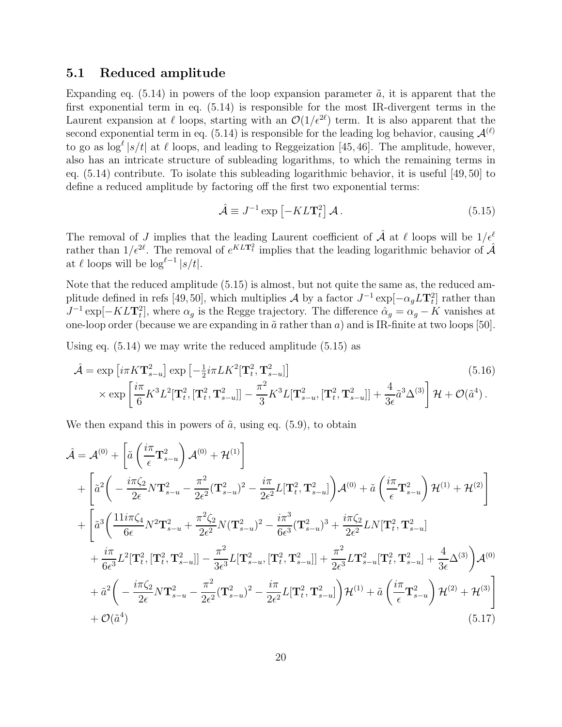#### 5.1 Reduced amplitude

Expanding eq.  $(5.14)$  in powers of the loop expansion parameter  $\tilde{a}$ , it is apparent that the first exponential term in eq. (5.14) is responsible for the most IR-divergent terms in the Laurent expansion at  $\ell$  loops, starting with an  $\mathcal{O}(1/\epsilon^{2\ell})$  term. It is also apparent that the second exponential term in eq. (5.14) is responsible for the leading log behavior, causing  $\mathcal{A}^{(\ell)}$ to go as  $\log^{\ell} |s/t|$  at  $\ell$  loops, and leading to Reggeization [45,46]. The amplitude, however, also has an intricate structure of subleading logarithms, to which the remaining terms in eq. (5.14) contribute. To isolate this subleading logarithmic behavior, it is useful [49, 50] to define a reduced amplitude by factoring off the first two exponential terms:

$$
\hat{\mathcal{A}} \equiv J^{-1} \exp\left[-KL\mathbf{T}_t^2\right] \mathcal{A} \,. \tag{5.15}
$$

The removal of J implies that the leading Laurent coefficient of  $\hat{\mathcal{A}}$  at  $\ell$  loops will be  $1/\epsilon^{\ell}$ rather than  $1/\epsilon^{2\ell}$ . The removal of  $e^{KLT_t^2}$  implies that the leading logarithmic behavior of  $\mathcal{A}$ at  $\ell$  loops will be  $\log^{\ell-1} |s/t|$ .

Note that the reduced amplitude (5.15) is almost, but not quite the same as, the reduced amplitude defined in refs [49,50], which multiplies  $\mathcal A$  by a factor  $J^{-1} \exp[-\alpha_g L T_t^2]$  rather than  $J^{-1}$  exp[ $-KLT_t^2$ ], where  $\alpha_g$  is the Regge trajectory. The difference  $\hat{\alpha}_g = \alpha_g - K$  vanishes at one-loop order (because we are expanding in  $\tilde{a}$  rather than  $a$ ) and is IR-finite at two loops [50].

Using eq. (5.14) we may write the reduced amplitude (5.15) as

$$
\hat{\mathcal{A}} = \exp\left[i\pi K \mathbf{T}_{s-u}^2\right] \exp\left[-\frac{1}{2}i\pi L K^2 [\mathbf{T}_t^2, \mathbf{T}_{s-u}^2]\right]
$$
\n
$$
\times \exp\left[\frac{i\pi}{6} K^3 L^2 [\mathbf{T}_t^2, [\mathbf{T}_t^2, \mathbf{T}_{s-u}^2]] - \frac{\pi^2}{3} K^3 L [\mathbf{T}_{s-u}^2, [\mathbf{T}_t^2, \mathbf{T}_{s-u}^2]] + \frac{4}{3\epsilon} \tilde{a}^3 \Delta^{(3)}\right] \mathcal{H} + \mathcal{O}(\tilde{a}^4).
$$
\n(5.16)

We then expand this in powers of  $\tilde{a}$ , using eq. (5.9), to obtain

$$
\hat{\mathcal{A}} = \mathcal{A}^{(0)} + \left[ \tilde{a} \left( \frac{i\pi}{\epsilon} \mathbf{T}_{s-u}^{2} \right) \mathcal{A}^{(0)} + \mathcal{H}^{(1)} \right] \n+ \left[ \tilde{a}^{2} \left( -\frac{i\pi\zeta_{2}}{2\epsilon} N \mathbf{T}_{s-u}^{2} - \frac{\pi^{2}}{2\epsilon^{2}} (\mathbf{T}_{s-u}^{2})^{2} - \frac{i\pi}{2\epsilon^{2}} L[\mathbf{T}_{t}^{2}, \mathbf{T}_{s-u}^{2}] \right) \mathcal{A}^{(0)} + \tilde{a} \left( \frac{i\pi}{\epsilon} \mathbf{T}_{s-u}^{2} \right) \mathcal{H}^{(1)} + \mathcal{H}^{(2)} \right] \n+ \left[ \tilde{a}^{3} \left( \frac{11i\pi\zeta_{4}}{6\epsilon} N^{2} \mathbf{T}_{s-u}^{2} + \frac{\pi^{2}\zeta_{2}}{2\epsilon^{2}} N(\mathbf{T}_{s-u}^{2})^{2} - \frac{i\pi^{3}}{6\epsilon^{3}} (\mathbf{T}_{s-u}^{2})^{3} + \frac{i\pi\zeta_{2}}{2\epsilon^{2}} L N[\mathbf{T}_{t}^{2}, \mathbf{T}_{s-u}^{2}] \n+ \frac{i\pi}{6\epsilon^{3}} L^{2}[\mathbf{T}_{t}^{2}, [\mathbf{T}_{t}^{2}, \mathbf{T}_{s-u}^{2}] - \frac{\pi^{2}}{3\epsilon^{3}} L[\mathbf{T}_{s-u}^{2}, [\mathbf{T}_{t}^{2}, \mathbf{T}_{s-u}^{2}] + \frac{\pi^{2}}{2\epsilon^{3}} L \mathbf{T}_{s-u}^{2} [\mathbf{T}_{t}^{2}, \mathbf{T}_{s-u}^{2}] + \frac{4}{3\epsilon} \Delta^{(3)} \right) \mathcal{A}^{(0)} \n+ \tilde{a}^{2} \left( -\frac{i\pi\zeta_{2}}{2\epsilon} N \mathbf{T}_{s-u}^{2} - \frac{\pi^{2}}{2\epsilon^{2}} (\mathbf{T}_{s-u}^{2})^{2} - \frac{i\pi}{2\epsilon^{2}} L[\mathbf{T}_{t}^{2}, \mathbf{T}_{s-u}^{2}] \right) \mathcal{H}^{(1)} + \tilde{a} \left( \frac{i\pi}{\epsilon} \mathbf{T}_{s-u}^{2} \right) \mathcal{
$$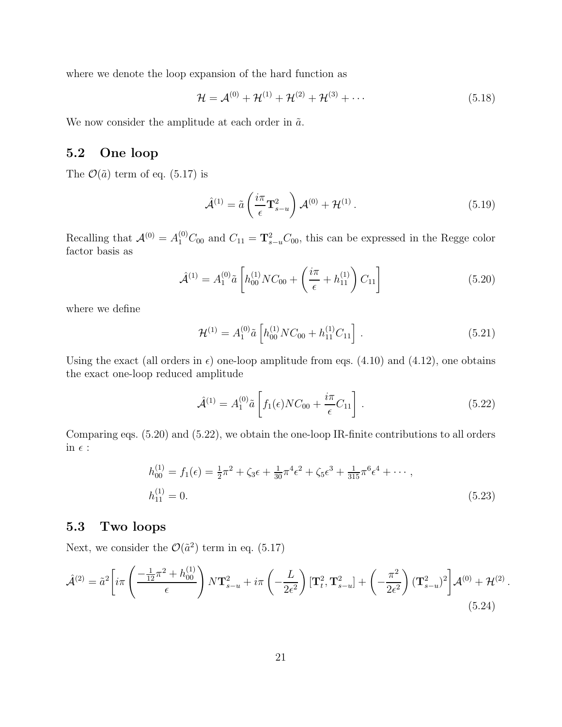where we denote the loop expansion of the hard function as

$$
\mathcal{H} = \mathcal{A}^{(0)} + \mathcal{H}^{(1)} + \mathcal{H}^{(2)} + \mathcal{H}^{(3)} + \cdots
$$
 (5.18)

We now consider the amplitude at each order in  $\tilde{a}$ .

### 5.2 One loop

The  $\mathcal{O}(\tilde{a})$  term of eq. (5.17) is

$$
\hat{\mathcal{A}}^{(1)} = \tilde{a} \left( \frac{i\pi}{\epsilon} \mathbf{T}_{s-u}^2 \right) \mathcal{A}^{(0)} + \mathcal{H}^{(1)} \,. \tag{5.19}
$$

Recalling that  $\mathcal{A}^{(0)} = A_1^{(0)} C_{00}$  and  $C_{11} = \mathbf{T}_{s-u}^2 C_{00}$ , this can be expressed in the Regge color factor basis as

$$
\hat{\mathcal{A}}^{(1)} = A_1^{(0)} \tilde{a} \left[ h_{00}^{(1)} NC_{00} + \left( \frac{i\pi}{\epsilon} + h_{11}^{(1)} \right) C_{11} \right] \tag{5.20}
$$

where we define

$$
\mathcal{H}^{(1)} = A_1^{(0)} \tilde{a} \left[ h_{00}^{(1)} N C_{00} + h_{11}^{(1)} C_{11} \right] . \tag{5.21}
$$

Using the exact (all orders in  $\epsilon$ ) one-loop amplitude from eqs. (4.10) and (4.12), one obtains the exact one-loop reduced amplitude

$$
\hat{\mathcal{A}}^{(1)} = A_1^{(0)} \tilde{a} \left[ f_1(\epsilon) N C_{00} + \frac{i\pi}{\epsilon} C_{11} \right].
$$
 (5.22)

Comparing eqs. (5.20) and (5.22), we obtain the one-loop IR-finite contributions to all orders in  $\epsilon$  :

$$
h_{00}^{(1)} = f_1(\epsilon) = \frac{1}{2}\pi^2 + \zeta_3 \epsilon + \frac{1}{30}\pi^4 \epsilon^2 + \zeta_5 \epsilon^3 + \frac{1}{315}\pi^6 \epsilon^4 + \cdots,
$$
  
\n
$$
h_{11}^{(1)} = 0.
$$
\n(5.23)

### 5.3 Two loops

Next, we consider the  $\mathcal{O}(\tilde{a}^2)$  term in eq. (5.17)

$$
\hat{\mathcal{A}}^{(2)} = \tilde{a}^2 \left[ i \pi \left( \frac{-\frac{1}{12} \pi^2 + h_{00}^{(1)}}{\epsilon} \right) N \mathbf{T}_{s-u}^2 + i \pi \left( -\frac{L}{2\epsilon^2} \right) [\mathbf{T}_t^2, \mathbf{T}_{s-u}^2] + \left( -\frac{\pi^2}{2\epsilon^2} \right) (\mathbf{T}_{s-u}^2)^2 \right] \mathcal{A}^{(0)} + \mathcal{H}^{(2)} \,. \tag{5.24}
$$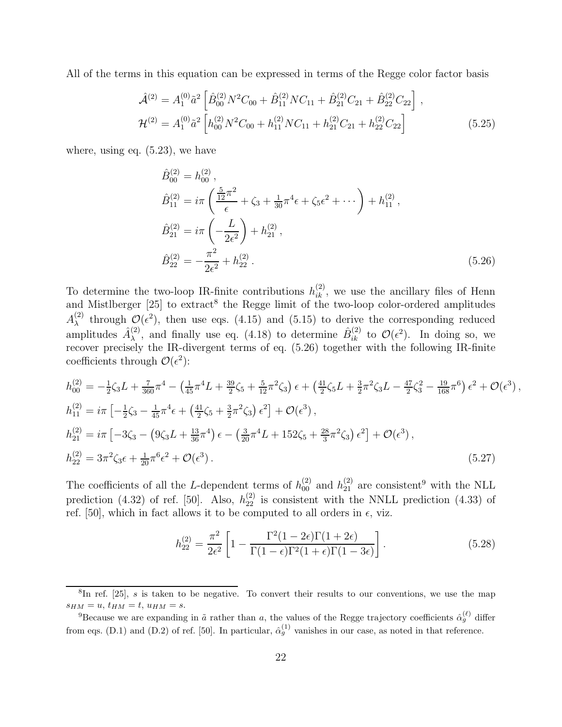All of the terms in this equation can be expressed in terms of the Regge color factor basis

$$
\hat{\mathcal{A}}^{(2)} = A_1^{(0)} \tilde{a}^2 \left[ \hat{B}_{00}^{(2)} N^2 C_{00} + \hat{B}_{11}^{(2)} N C_{11} + \hat{B}_{21}^{(2)} C_{21} + \hat{B}_{22}^{(2)} C_{22} \right],
$$
  
\n
$$
\mathcal{H}^{(2)} = A_1^{(0)} \tilde{a}^2 \left[ h_{00}^{(2)} N^2 C_{00} + h_{11}^{(2)} N C_{11} + h_{21}^{(2)} C_{21} + h_{22}^{(2)} C_{22} \right]
$$
\n(5.25)

where, using eq. (5.23), we have

$$
\hat{B}_{00}^{(2)} = h_{00}^{(2)},
$$
\n
$$
\hat{B}_{11}^{(2)} = i\pi \left( \frac{\frac{5}{12}\pi^2}{\epsilon} + \zeta_3 + \frac{1}{30}\pi^4\epsilon + \zeta_5\epsilon^2 + \cdots \right) + h_{11}^{(2)},
$$
\n
$$
\hat{B}_{21}^{(2)} = i\pi \left( -\frac{L}{2\epsilon^2} \right) + h_{21}^{(2)},
$$
\n
$$
\hat{B}_{22}^{(2)} = -\frac{\pi^2}{2\epsilon^2} + h_{22}^{(2)}.
$$
\n(5.26)

To determine the two-loop IR-finite contributions  $h_{ik}^{(2)}$ , we use the ancillary files of Henn and Mistlberger [25] to extract<sup>8</sup> the Regge limit of the two-loop color-ordered amplitudes  $A_\lambda^{(2)}$ <sup>(2)</sup> through  $\mathcal{O}(\epsilon^2)$ , then use eqs. (4.15) and (5.15) to derive the corresponding reduced amplitudes  $\hat{A}_{\lambda}^{(2)}$ (2), and finally use eq. (4.18) to determine  $\hat{B}_{ik}^{(2)}$  to  $\mathcal{O}(\epsilon^2)$ . In doing so, we recover precisely the IR-divergent terms of eq. (5.26) together with the following IR-finite coefficients through  $\mathcal{O}(\epsilon^2)$ :

$$
h_{00}^{(2)} = -\frac{1}{2}\zeta_3 L + \frac{7}{360}\pi^4 - \left(\frac{1}{45}\pi^4 L + \frac{39}{2}\zeta_5 + \frac{5}{12}\pi^2 \zeta_3\right)\epsilon + \left(\frac{41}{2}\zeta_5 L + \frac{3}{2}\pi^2 \zeta_3 L - \frac{47}{2}\zeta_3^2 - \frac{19}{168}\pi^6\right)\epsilon^2 + \mathcal{O}(\epsilon^3),
$$
  
\n
$$
h_{11}^{(2)} = i\pi \left[ -\frac{1}{2}\zeta_3 - \frac{1}{45}\pi^4 \epsilon + \left(\frac{41}{2}\zeta_5 + \frac{3}{2}\pi^2 \zeta_3\right)\epsilon^2 \right] + \mathcal{O}(\epsilon^3),
$$
  
\n
$$
h_{21}^{(2)} = i\pi \left[ -3\zeta_3 - \left(9\zeta_3 L + \frac{13}{36}\pi^4\right)\epsilon - \left(\frac{3}{20}\pi^4 L + 152\zeta_5 + \frac{28}{3}\pi^2 \zeta_3\right)\epsilon^2 \right] + \mathcal{O}(\epsilon^3),
$$
  
\n
$$
h_{22}^{(2)} = 3\pi^2 \zeta_3 \epsilon + \frac{1}{20}\pi^6 \epsilon^2 + \mathcal{O}(\epsilon^3).
$$
  
\n(5.27)

The coefficients of all the L-dependent terms of  $h_{00}^{(2)}$  and  $h_{21}^{(2)}$  are consistent<sup>9</sup> with the NLL prediction (4.32) of ref. [50]. Also,  $h_{22}^{(2)}$  is consistent with the NNLL prediction (4.33) of ref. [50], which in fact allows it to be computed to all orders in  $\epsilon$ , viz.

$$
h_{22}^{(2)} = \frac{\pi^2}{2\epsilon^2} \left[ 1 - \frac{\Gamma^2 (1 - 2\epsilon) \Gamma (1 + 2\epsilon)}{\Gamma (1 - \epsilon) \Gamma^2 (1 + \epsilon) \Gamma (1 - 3\epsilon)} \right].
$$
 (5.28)

<sup>&</sup>lt;sup>8</sup>In ref. [25], s is taken to be negative. To convert their results to our conventions, we use the map  $s_{HM} = u, t_{HM} = t, u_{HM} = s.$ 

<sup>&</sup>lt;sup>9</sup>Because we are expanding in  $\tilde{a}$  rather than a, the values of the Regge trajectory coefficients  $\hat{\alpha}_g^{(\ell)}$  differ from eqs. (D.1) and (D.2) of ref. [50]. In particular,  $\hat{\alpha}_g^{(1)}$  vanishes in our case, as noted in that reference.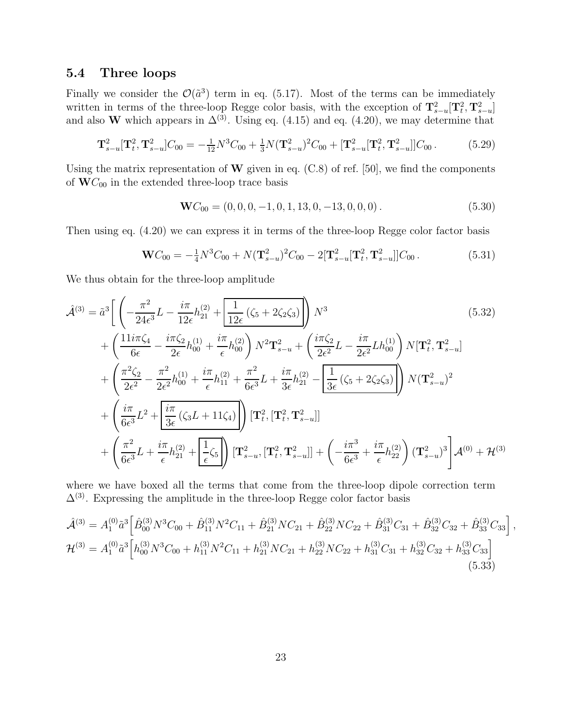### 5.4 Three loops

Finally we consider the  $\mathcal{O}(\tilde{a}^3)$  term in eq. (5.17). Most of the terms can be immediately written in terms of the three-loop Regge color basis, with the exception of  $\mathbf{T}_{s-u}^2[\mathbf{T}_t^2, \mathbf{T}_{s-u}^2]$ and also W which appears in  $\Delta^{(3)}$ . Using eq. (4.15) and eq. (4.20), we may determine that

$$
\mathbf{T}_{s-u}^2[\mathbf{T}_t^2, \mathbf{T}_{s-u}^2]C_{00} = -\frac{1}{12}N^3C_{00} + \frac{1}{3}N(\mathbf{T}_{s-u}^2)^2C_{00} + [\mathbf{T}_{s-u}^2[\mathbf{T}_t^2, \mathbf{T}_{s-u}^2]]C_{00}. \tag{5.29}
$$

Using the matrix representation of  $W$  given in eq. (C.8) of ref. [50], we find the components of  $\mathbf{W}C_{00}$  in the extended three-loop trace basis

$$
\mathbf{W}C_{00} = (0, 0, 0, -1, 0, 1, 13, 0, -13, 0, 0, 0). \tag{5.30}
$$

Then using eq. (4.20) we can express it in terms of the three-loop Regge color factor basis

$$
\mathbf{W}C_{00} = -\frac{1}{4}N^3C_{00} + N(\mathbf{T}_{s-u}^2)^2C_{00} - 2[\mathbf{T}_{s-u}^2[\mathbf{T}_t^2, \mathbf{T}_{s-u}^2]]C_{00}.
$$
 (5.31)

We thus obtain for the three-loop amplitude

$$
\hat{\mathcal{A}}^{(3)} = \tilde{a}^{3} \Bigg[ \left( -\frac{\pi^{2}}{24\epsilon^{3}} L - \frac{i\pi}{12\epsilon} h_{21}^{(2)} + \frac{1}{12\epsilon} \left( \zeta_{5} + 2\zeta_{2}\zeta_{3} \right) \right) N^{3} \tag{5.32}
$$
\n
$$
+ \left( \frac{11i\pi\zeta_{4}}{6\epsilon} - \frac{i\pi\zeta_{2}}{2\epsilon} h_{00}^{(1)} + \frac{i\pi}{\epsilon} h_{00}^{(2)} \right) N^{2} \mathbf{T}_{s-u}^{2} + \left( \frac{i\pi\zeta_{2}}{2\epsilon^{2}} L - \frac{i\pi}{2\epsilon^{2}} L h_{00}^{(1)} \right) N [\mathbf{T}_{t}^{2}, \mathbf{T}_{s-u}^{2}]
$$
\n
$$
+ \left( \frac{\pi^{2}\zeta_{2}}{2\epsilon^{2}} - \frac{\pi^{2}}{2\epsilon^{2}} h_{00}^{(1)} + \frac{i\pi}{\epsilon} h_{11}^{(2)} + \frac{\pi^{2}}{6\epsilon^{3}} L + \frac{i\pi}{3\epsilon} h_{21}^{(2)} - \frac{1}{2\epsilon} \left( \zeta_{5} + 2\zeta_{2}\zeta_{3} \right) \right) N (\mathbf{T}_{s-u}^{2})^{2}
$$
\n
$$
+ \left( \frac{i\pi}{6\epsilon^{3}} L^{2} + \frac{i\pi}{3\epsilon} \left( \zeta_{3} L + 11\zeta_{4} \right) \right) [\mathbf{T}_{t}^{2}, [\mathbf{T}_{t}^{2}, \mathbf{T}_{s-u}^{2}]]
$$
\n
$$
+ \left( \frac{\pi^{2}}{6\epsilon^{3}} L + \frac{i\pi}{\epsilon} h_{21}^{(2)} + \frac{1}{\epsilon} \zeta_{5} \right) [\mathbf{T}_{s-u}^{2}, [\mathbf{T}_{t}^{2}, \mathbf{T}_{s-u}^{2}]] + \left( -\frac{i\pi^{3}}{6\epsilon^{3}} + \frac{i\pi}{\epsilon} h_{22}^{(2)} \right) (\mathbf{T}_{s-u}^{2})^{3} \Bigg] \mathcal{A}^{(0)} + \mathcal{H}^{(3)}
$$

where we have boxed all the terms that come from the three-loop dipole correction term  $\Delta^{(3)}$ . Expressing the amplitude in the three-loop Regge color factor basis

$$
\hat{\mathcal{A}}^{(3)} = A_1^{(0)} \tilde{a}^3 \left[ \hat{B}_{00}^{(3)} N^3 C_{00} + \hat{B}_{11}^{(3)} N^2 C_{11} + \hat{B}_{21}^{(3)} N C_{21} + \hat{B}_{22}^{(3)} N C_{22} + \hat{B}_{31}^{(3)} C_{31} + \hat{B}_{32}^{(3)} C_{32} + \hat{B}_{33}^{(3)} C_{33} \right],
$$
  
\n
$$
\mathcal{H}^{(3)} = A_1^{(0)} \tilde{a}^3 \left[ h_{00}^{(3)} N^3 C_{00} + h_{11}^{(3)} N^2 C_{11} + h_{21}^{(3)} N C_{21} + h_{22}^{(3)} N C_{22} + h_{31}^{(3)} C_{31} + h_{32}^{(3)} C_{32} + h_{33}^{(3)} C_{33} \right]
$$
\n(5.33)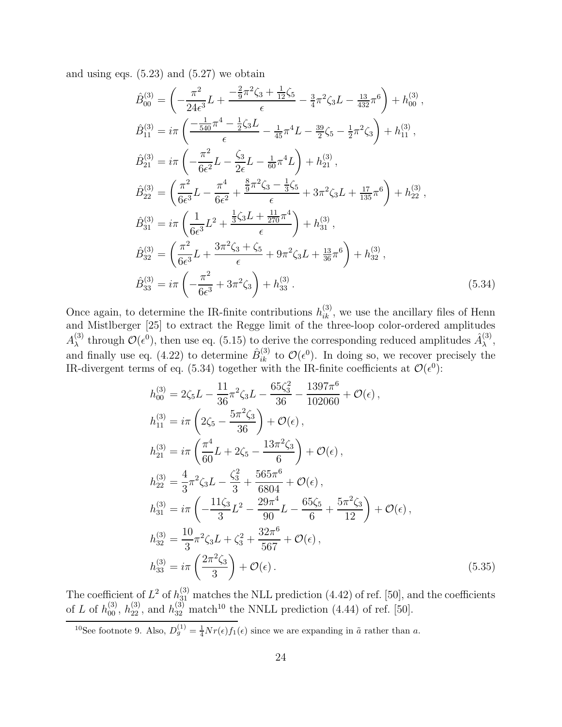and using eqs.  $(5.23)$  and  $(5.27)$  we obtain

$$
\hat{B}_{00}^{(3)} = \left(-\frac{\pi^2}{24\epsilon^3}L + \frac{-\frac{2}{9}\pi^2\zeta_3 + \frac{1}{12}\zeta_5}{\epsilon} - \frac{3}{4}\pi^2\zeta_3L - \frac{13}{432}\pi^6\right) + h_{00}^{(3)},
$$
\n
$$
\hat{B}_{11}^{(3)} = i\pi \left(\frac{-\frac{1}{540}\pi^4 - \frac{1}{2}\zeta_3L}{\epsilon} - \frac{1}{45}\pi^4L - \frac{39}{2}\zeta_5 - \frac{1}{2}\pi^2\zeta_3\right) + h_{11}^{(3)},
$$
\n
$$
\hat{B}_{21}^{(3)} = i\pi \left(-\frac{\pi^2}{6\epsilon^2}L - \frac{\zeta_3}{2\epsilon}L - \frac{1}{60}\pi^4L\right) + h_{21}^{(3)},
$$
\n
$$
\hat{B}_{22}^{(3)} = \left(\frac{\pi^2}{6\epsilon^3}L - \frac{\pi^4}{6\epsilon^2} + \frac{\frac{8}{9}\pi^2\zeta_3 - \frac{1}{3}\zeta_5}{\epsilon} + 3\pi^2\zeta_3L + \frac{17}{135}\pi^6\right) + h_{22}^{(3)},
$$
\n
$$
\hat{B}_{31}^{(3)} = i\pi \left(\frac{1}{6\epsilon^3}L^2 + \frac{\frac{1}{3}\zeta_3L + \frac{11}{270}\pi^4}{\epsilon}\right) + h_{31}^{(3)},
$$
\n
$$
\hat{B}_{32}^{(3)} = \left(\frac{\pi^2}{6\epsilon^3}L + \frac{3\pi^2\zeta_3 + \zeta_5}{\epsilon} + 9\pi^2\zeta_3L + \frac{13}{36}\pi^6\right) + h_{32}^{(3)},
$$
\n
$$
\hat{B}_{33}^{(3)} = i\pi \left(-\frac{\pi^2}{6\epsilon^3} + 3\pi^2\zeta_3\right) + h_{33}^{(3)}.
$$
\n(5.34)

Once again, to determine the IR-finite contributions  $h_{ik}^{(3)}$ , we use the ancillary files of Henn and Mistlberger [25] to extract the Regge limit of the three-loop color-ordered amplitudes  $A_\lambda^{(3)}$ <sup>(3)</sup> through  $\mathcal{O}(\epsilon^0)$ , then use eq. (5.15) to derive the corresponding reduced amplitudes  $\hat{A}^{(3)}_{\lambda}$  $_{\lambda}^{(\mathsf{o})}$ and finally use eq. (4.22) to determine  $\hat{B}_{ik}^{(3)}$  to  $\mathcal{O}(\epsilon^0)$ . In doing so, we recover precisely the IR-divergent terms of eq. (5.34) together with the IR-finite coefficients at  $\mathcal{O}(\epsilon^0)$ :

$$
h_{00}^{(3)} = 2\zeta_5 L - \frac{11}{36}\pi^2 \zeta_3 L - \frac{65\zeta_3^2}{36} - \frac{1397\pi^6}{102060} + \mathcal{O}(\epsilon),
$$
  
\n
$$
h_{11}^{(3)} = i\pi \left(2\zeta_5 - \frac{5\pi^2 \zeta_3}{36}\right) + \mathcal{O}(\epsilon),
$$
  
\n
$$
h_{21}^{(3)} = i\pi \left(\frac{\pi^4}{60}L + 2\zeta_5 - \frac{13\pi^2 \zeta_3}{6}\right) + \mathcal{O}(\epsilon),
$$
  
\n
$$
h_{22}^{(3)} = \frac{4}{3}\pi^2 \zeta_3 L - \frac{\zeta_3^2}{3} + \frac{565\pi^6}{6804} + \mathcal{O}(\epsilon),
$$
  
\n
$$
h_{31}^{(3)} = i\pi \left(-\frac{11\zeta_3}{3}L^2 - \frac{29\pi^4}{90}L - \frac{65\zeta_5}{6} + \frac{5\pi^2 \zeta_3}{12}\right) + \mathcal{O}(\epsilon),
$$
  
\n
$$
h_{32}^{(3)} = \frac{10}{3}\pi^2 \zeta_3 L + \zeta_3^2 + \frac{32\pi^6}{567} + \mathcal{O}(\epsilon),
$$
  
\n
$$
h_{33}^{(3)} = i\pi \left(\frac{2\pi^2 \zeta_3}{3}\right) + \mathcal{O}(\epsilon).
$$
  
\n(5.35)

The coefficient of  $L^2$  of  $h_{31}^{(3)}$  matches the NLL prediction (4.42) of ref. [50], and the coefficients of L of  $h_{00}^{(3)}$ ,  $h_{22}^{(3)}$ , and  $h_{32}^{(3)}$  match<sup>10</sup> the NNLL prediction (4.44) of ref. [50].

<sup>10</sup>See footnote 9. Also,  $D_g^{(1)} = \frac{1}{4} N r(\epsilon) f_1(\epsilon)$  since we are expanding in  $\tilde{a}$  rather than a.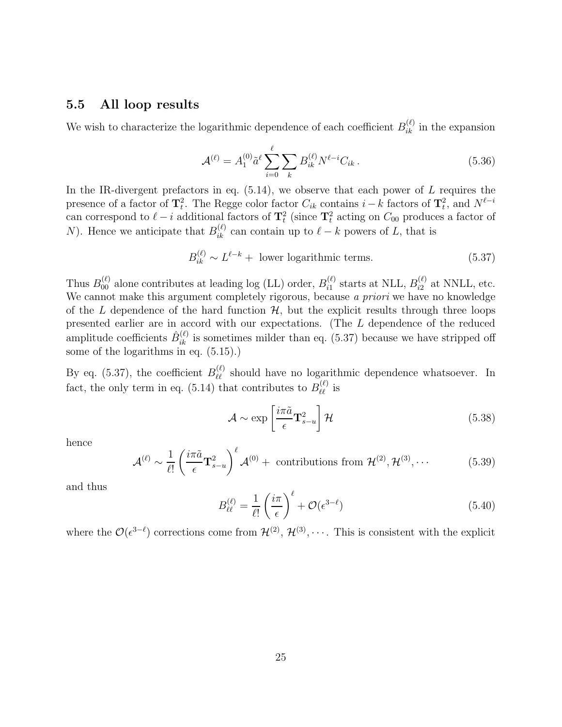### 5.5 All loop results

We wish to characterize the logarithmic dependence of each coefficient  $B_{ik}^{(\ell)}$  in the expansion

$$
\mathcal{A}^{(\ell)} = A_1^{(0)} \tilde{a}^{\ell} \sum_{i=0}^{\ell} \sum_k B_{ik}^{(\ell)} N^{\ell-i} C_{ik} \,. \tag{5.36}
$$

In the IR-divergent prefactors in eq.  $(5.14)$ , we observe that each power of L requires the presence of a factor of  $\mathbf{T}_t^2$ . The Regge color factor  $C_{ik}$  contains  $i - k$  factors of  $\mathbf{T}_t^2$ , and  $N^{\ell-i}$ can correspond to  $\ell - i$  additional factors of  $\mathbf{T}_t^2$  (since  $\mathbf{T}_t^2$  acting on  $C_{00}$  produces a factor of N). Hence we anticipate that  $B_{ik}^{(\ell)}$  can contain up to  $\ell - k$  powers of L, that is

$$
B_{ik}^{(\ell)} \sim L^{\ell-k} + \text{ lower logarithmic terms.} \tag{5.37}
$$

Thus  $B_{00}^{(\ell)}$  alone contributes at leading log (LL) order,  $B_{i1}^{(\ell)}$  $_{i1}^{(\ell)}$  starts at NLL,  $B_{i2}^{(\ell)}$  $i_2^{(\ell)}$  at NNLL, etc. We cannot make this argument completely rigorous, because a priori we have no knowledge of the L dependence of the hard function  $\mathcal{H}$ , but the explicit results through three loops presented earlier are in accord with our expectations. (The L dependence of the reduced amplitude coefficients  $\hat{B}_{ik}^{(\ell)}$  is sometimes milder than eq. (5.37) because we have stripped off some of the logarithms in eq. (5.15).)

By eq. (5.37), the coefficient  $B_{\ell\ell}^{(\ell)}$  should have no logarithmic dependence whatsoever. In fact, the only term in eq. (5.14) that contributes to  $B_{\ell\ell}^{(\ell)}$  is

$$
\mathcal{A} \sim \exp\left[\frac{i\pi \tilde{a}}{\epsilon} \mathbf{T}_{s-u}^2\right] \mathcal{H}
$$
\n(5.38)

hence

$$
\mathcal{A}^{(\ell)} \sim \frac{1}{\ell!} \left( \frac{i\pi \tilde{a}}{\epsilon} \mathbf{T}_{s-u}^2 \right)^{\ell} \mathcal{A}^{(0)} + \text{ contributions from } \mathcal{H}^{(2)}, \mathcal{H}^{(3)}, \cdots
$$
 (5.39)

and thus

$$
B_{\ell\ell}^{(\ell)} = \frac{1}{\ell!} \left(\frac{i\pi}{\epsilon}\right)^{\ell} + \mathcal{O}(\epsilon^{3-\ell})
$$
\n(5.40)

where the  $\mathcal{O}(\epsilon^{3-\ell})$  corrections come from  $\mathcal{H}^{(2)}$ ,  $\mathcal{H}^{(3)}$ ,  $\cdots$ . This is consistent with the explicit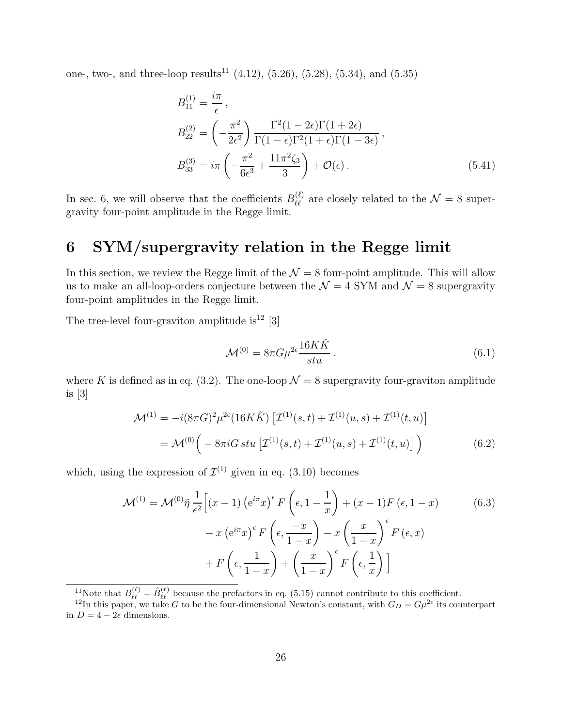one-, two-, and three-loop results<sup>11</sup> (4.12), (5.26), (5.28), (5.34), and (5.35)

$$
B_{11}^{(1)} = \frac{i\pi}{\epsilon},
$$
  
\n
$$
B_{22}^{(2)} = \left(-\frac{\pi^2}{2\epsilon^2}\right) \frac{\Gamma^2 (1 - 2\epsilon) \Gamma (1 + 2\epsilon)}{\Gamma (1 - \epsilon) \Gamma^2 (1 + \epsilon) \Gamma (1 - 3\epsilon)},
$$
  
\n
$$
B_{33}^{(3)} = i\pi \left(-\frac{\pi^2}{6\epsilon^3} + \frac{11\pi^2 \zeta_3}{3}\right) + \mathcal{O}(\epsilon).
$$
\n(5.41)

In sec. 6, we will observe that the coefficients  $B_{\ell\ell}^{(\ell)}$  are closely related to the  $\mathcal{N}=8$  supergravity four-point amplitude in the Regge limit.

# 6 SYM/supergravity relation in the Regge limit

In this section, we review the Regge limit of the  $\mathcal{N} = 8$  four-point amplitude. This will allow us to make an all-loop-orders conjecture between the  $\mathcal{N}=4$  SYM and  $\mathcal{N}=8$  supergravity four-point amplitudes in the Regge limit.

The tree-level four-graviton amplitude is<sup>12</sup> [3]

$$
\mathcal{M}^{(0)} = 8\pi G\mu^{2\epsilon} \frac{16K\tilde{K}}{stu}.
$$
\n(6.1)

where K is defined as in eq. (3.2). The one-loop  $\mathcal{N} = 8$  supergravity four-graviton amplitude is [3]

$$
\mathcal{M}^{(1)} = -i(8\pi G)^2 \mu^{2\epsilon} (16K\tilde{K}) \left[ \mathcal{I}^{(1)}(s,t) + \mathcal{I}^{(1)}(u,s) + \mathcal{I}^{(1)}(t,u) \right]
$$
  
= 
$$
\mathcal{M}^{(0)} \Big( -8\pi i G \, stu \left[ \mathcal{I}^{(1)}(s,t) + \mathcal{I}^{(1)}(u,s) + \mathcal{I}^{(1)}(t,u) \right] \Big)
$$
 (6.2)

which, using the expression of  $\mathcal{I}^{(1)}$  given in eq. (3.10) becomes

$$
\mathcal{M}^{(1)} = \mathcal{M}^{(0)} \tilde{\eta} \frac{1}{\epsilon^2} \Big[ (x - 1) \left( e^{i\pi} x \right)^{\epsilon} F \left( \epsilon, 1 - \frac{1}{x} \right) + (x - 1) F \left( \epsilon, 1 - x \right) \qquad (6.3)
$$

$$
- x \left( e^{i\pi} x \right)^{\epsilon} F \left( \epsilon, \frac{-x}{1 - x} \right) - x \left( \frac{x}{1 - x} \right)^{\epsilon} F \left( \epsilon, x \right)
$$

$$
+ F \left( \epsilon, \frac{1}{1 - x} \right) + \left( \frac{x}{1 - x} \right)^{\epsilon} F \left( \epsilon, \frac{1}{x} \right) \Big]
$$

<sup>11</sup>Note that  $B_{\ell\ell}^{(\ell)} = \hat{B}_{\ell\ell}^{(\ell)}$  because the prefactors in eq. (5.15) cannot contribute to this coefficient.

<sup>&</sup>lt;sup>12</sup>In this paper, we take G to be the four-dimensional Newton's constant, with  $G_D = G\mu^{2\epsilon}$  its counterpart in  $D = 4 - 2\epsilon$  dimensions.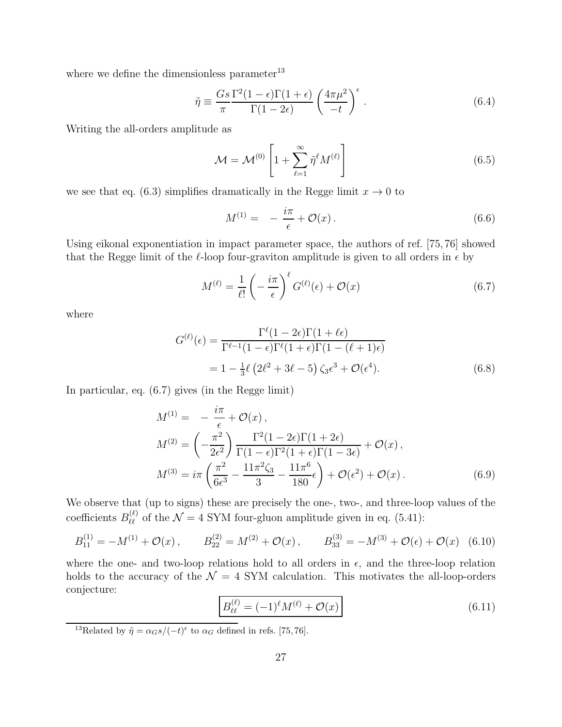where we define the dimensionless parameter $^{13}$ 

$$
\tilde{\eta} \equiv \frac{Gs}{\pi} \frac{\Gamma^2 (1 - \epsilon) \Gamma (1 + \epsilon)}{\Gamma (1 - 2\epsilon)} \left( \frac{4\pi \mu^2}{-t} \right)^{\epsilon} . \tag{6.4}
$$

Writing the all-orders amplitude as

$$
\mathcal{M} = \mathcal{M}^{(0)} \left[ 1 + \sum_{\ell=1}^{\infty} \tilde{\eta}^{\ell} M^{(\ell)} \right]
$$
 (6.5)

we see that eq. (6.3) simplifies dramatically in the Regge limit  $x \to 0$  to

$$
M^{(1)} = -\frac{i\pi}{\epsilon} + \mathcal{O}(x) \,. \tag{6.6}
$$

Using eikonal exponentiation in impact parameter space, the authors of ref. [75, 76] showed that the Regge limit of the  $\ell$ -loop four-graviton amplitude is given to all orders in  $\epsilon$  by

$$
M^{(\ell)} = \frac{1}{\ell!} \left( -\frac{i\pi}{\epsilon} \right)^{\ell} G^{(\ell)}(\epsilon) + \mathcal{O}(x) \tag{6.7}
$$

where

$$
G^{(\ell)}(\epsilon) = \frac{\Gamma^{\ell}(1 - 2\epsilon)\Gamma(1 + \ell\epsilon)}{\Gamma^{\ell-1}(1 - \epsilon)\Gamma^{\ell}(1 + \epsilon)\Gamma(1 - (\ell + 1)\epsilon)}
$$
  
=  $1 - \frac{1}{3}\ell \left(2\ell^2 + 3\ell - 5\right) \zeta_3 \epsilon^3 + \mathcal{O}(\epsilon^4).$  (6.8)

In particular, eq. (6.7) gives (in the Regge limit)

$$
M^{(1)} = -\frac{i\pi}{\epsilon} + \mathcal{O}(x),
$$
  
\n
$$
M^{(2)} = \left(-\frac{\pi^2}{2\epsilon^2}\right) \frac{\Gamma^2 (1 - 2\epsilon) \Gamma (1 + 2\epsilon)}{\Gamma (1 - \epsilon) \Gamma^2 (1 + \epsilon) \Gamma (1 - 3\epsilon)} + \mathcal{O}(x),
$$
  
\n
$$
M^{(3)} = i\pi \left(\frac{\pi^2}{6\epsilon^3} - \frac{11\pi^2 \zeta_3}{3} - \frac{11\pi^6}{180}\epsilon\right) + \mathcal{O}(\epsilon^2) + \mathcal{O}(x).
$$
\n(6.9)

We observe that (up to signs) these are precisely the one-, two-, and three-loop values of the coefficients  $B_{\ell\ell}^{(\ell)}$  of the  $\mathcal{N}=4$  SYM four-gluon amplitude given in eq. (5.41):

$$
B_{11}^{(1)} = -M^{(1)} + \mathcal{O}(x), \qquad B_{22}^{(2)} = M^{(2)} + \mathcal{O}(x), \qquad B_{33}^{(3)} = -M^{(3)} + \mathcal{O}(\epsilon) + \mathcal{O}(x) \tag{6.10}
$$

where the one- and two-loop relations hold to all orders in  $\epsilon$ , and the three-loop relation holds to the accuracy of the  $\mathcal{N} = 4$  SYM calculation. This motivates the all-loop-orders conjecture:

$$
B_{\ell\ell}^{(\ell)} = (-1)^{\ell} M^{(\ell)} + \mathcal{O}(x)
$$
\n(6.11)

<sup>13</sup>Related by  $\tilde{\eta} = \alpha_G s / (-t)^\epsilon$  to  $\alpha_G$  defined in refs. [75,76].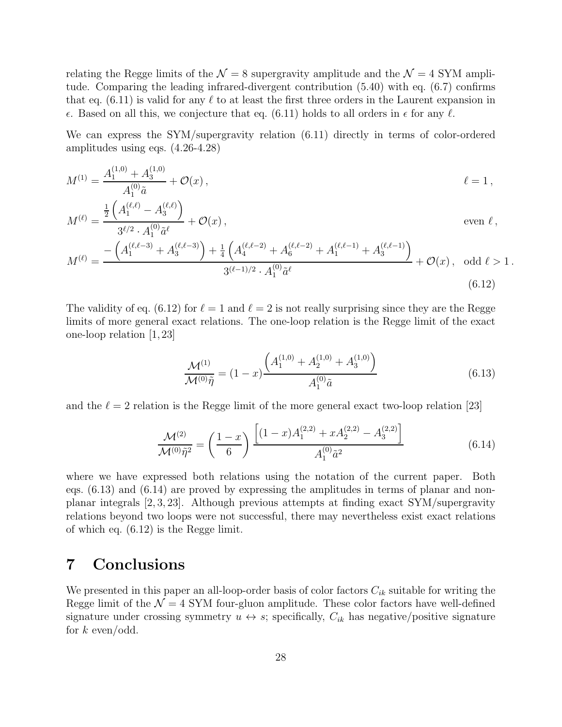relating the Regge limits of the  $\mathcal{N} = 8$  supergravity amplitude and the  $\mathcal{N} = 4$  SYM amplitude. Comparing the leading infrared-divergent contribution (5.40) with eq. (6.7) confirms that eq. (6.11) is valid for any  $\ell$  to at least the first three orders in the Laurent expansion in  $\epsilon$ . Based on all this, we conjecture that eq. (6.11) holds to all orders in  $\epsilon$  for any  $\ell$ .

We can express the SYM/supergravity relation (6.11) directly in terms of color-ordered amplitudes using eqs. (4.26-4.28)

$$
M^{(1)} = \frac{A_1^{(1,0)} + A_3^{(1,0)}}{A_1^{(0)}\tilde{a}} + \mathcal{O}(x) , \qquad \ell = 1 ,
$$

$$
M^{(\ell)} = \frac{\frac{1}{2} \left( A_1^{(\ell,\ell)} - A_3^{(\ell,\ell)} \right)}{3^{\ell/2} \cdot A_1^{(0)} \tilde{a}^{\ell}} + \mathcal{O}(x), \qquad \text{even } \ell, M^{(\ell)} = \frac{-\left( A_1^{(\ell,\ell-3)} + A_3^{(\ell,\ell-3)} \right) + \frac{1}{4} \left( A_4^{(\ell,\ell-2)} + A_6^{(\ell,\ell-2)} + A_1^{(\ell,\ell-1)} + A_3^{(\ell,\ell-1)} \right)}{3^{(\ell-1)/2} \cdot A_1^{(0)} \tilde{a}^{\ell}} + \mathcal{O}(x), \text{ odd } \ell > 1.
$$
\n
$$
(6.12)
$$

The validity of eq. (6.12) for  $\ell = 1$  and  $\ell = 2$  is not really surprising since they are the Regge limits of more general exact relations. The one-loop relation is the Regge limit of the exact one-loop relation [1, 23]

$$
\frac{\mathcal{M}^{(1)}}{\mathcal{M}^{(0)}\tilde{\eta}} = (1-x)\frac{\left(A_1^{(1,0)} + A_2^{(1,0)} + A_3^{(1,0)}\right)}{A_1^{(0)}\tilde{a}}\tag{6.13}
$$

and the  $\ell = 2$  relation is the Regge limit of the more general exact two-loop relation [23]

$$
\frac{\mathcal{M}^{(2)}}{\mathcal{M}^{(0)}\tilde{\eta}^2} = \left(\frac{1-x}{6}\right) \frac{\left[ (1-x)A_1^{(2,2)} + xA_2^{(2,2)} - A_3^{(2,2)} \right]}{A_1^{(0)}\tilde{a}^2} \tag{6.14}
$$

where we have expressed both relations using the notation of the current paper. Both eqs. (6.13) and (6.14) are proved by expressing the amplitudes in terms of planar and nonplanar integrals [2, 3, 23]. Although previous attempts at finding exact SYM/supergravity relations beyond two loops were not successful, there may nevertheless exist exact relations of which eq. (6.12) is the Regge limit.

## 7 Conclusions

We presented in this paper an all-loop-order basis of color factors  $C_{ik}$  suitable for writing the Regge limit of the  $\mathcal{N} = 4$  SYM four-gluon amplitude. These color factors have well-defined signature under crossing symmetry  $u \leftrightarrow s$ ; specifically,  $C_{ik}$  has negative/positive signature for  $k$  even/odd.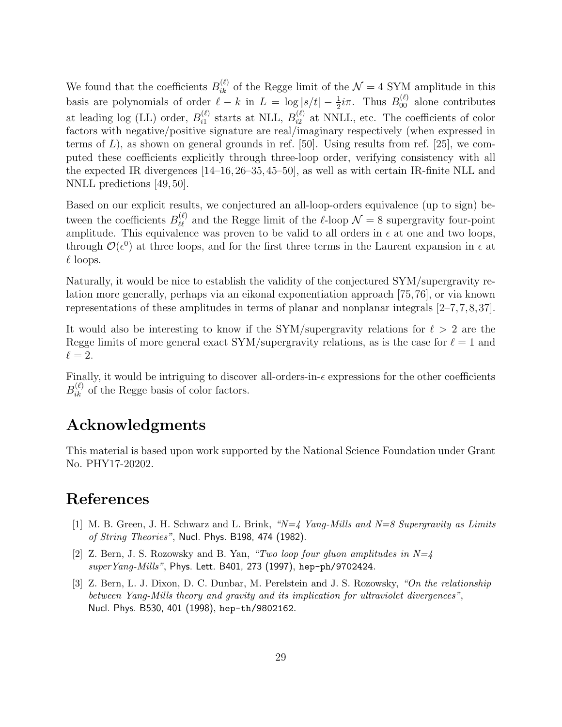We found that the coefficients  $B_{ik}^{(\ell)}$  of the Regge limit of the  $\mathcal{N}=4$  SYM amplitude in this basis are polynomials of order  $\ell - k$  in  $L = \log |s/t| - \frac{1}{2}i\pi$ . Thus  $B_{00}^{(\ell)}$  alone contributes at leading log (LL) order,  $B_{i1}^{(\ell)}$  $_{i1}^{(\ell)}$  starts at NLL,  $B_{i2}^{(\ell)}$  $i_2^{(t)}$  at NNLL, etc. The coefficients of color factors with negative/positive signature are real/imaginary respectively (when expressed in terms of  $L$ ), as shown on general grounds in ref. [50]. Using results from ref. [25], we computed these coefficients explicitly through three-loop order, verifying consistency with all the expected IR divergences [14–16,26–35,45–50], as well as with certain IR-finite NLL and NNLL predictions [49, 50].

Based on our explicit results, we conjectured an all-loop-orders equivalence (up to sign) between the coefficients  $B_{\ell\ell}^{(\ell)}$  and the Regge limit of the  $\ell$ -loop  $\mathcal{N}=8$  supergravity four-point amplitude. This equivalence was proven to be valid to all orders in  $\epsilon$  at one and two loops, through  $\mathcal{O}(\epsilon^0)$  at three loops, and for the first three terms in the Laurent expansion in  $\epsilon$  at  $\ell$  loops.

Naturally, it would be nice to establish the validity of the conjectured SYM/supergravity relation more generally, perhaps via an eikonal exponentiation approach [75,76], or via known representations of these amplitudes in terms of planar and nonplanar integrals [2–7,7,8,37].

It would also be interesting to know if the SYM/supergravity relations for  $\ell > 2$  are the Regge limits of more general exact SYM/supergravity relations, as is the case for  $\ell = 1$  and  $\ell = 2$ .

Finally, it would be intriguing to discover all-orders-in- $\epsilon$  expressions for the other coefficients  $B_{ik}^{(\ell)}$  of the Regge basis of color factors.

## Acknowledgments

This material is based upon work supported by the National Science Foundation under Grant No. PHY17-20202.

### References

- [1] M. B. Green, J. H. Schwarz and L. Brink, "N=4 Yang-Mills and N=8 Supergravity as Limits of String Theories", Nucl. Phys. B198, 474 (1982).
- [2] Z. Bern, J. S. Rozowsky and B. Yan, "Two loop four gluon amplitudes in  $N=4$ superYang-Mills", Phys. Lett. B401, 273 (1997), hep-ph/9702424.
- [3] Z. Bern, L. J. Dixon, D. C. Dunbar, M. Perelstein and J. S. Rozowsky, "On the relationship between Yang-Mills theory and gravity and its implication for ultraviolet divergences", Nucl. Phys. B530, 401 (1998), hep-th/9802162.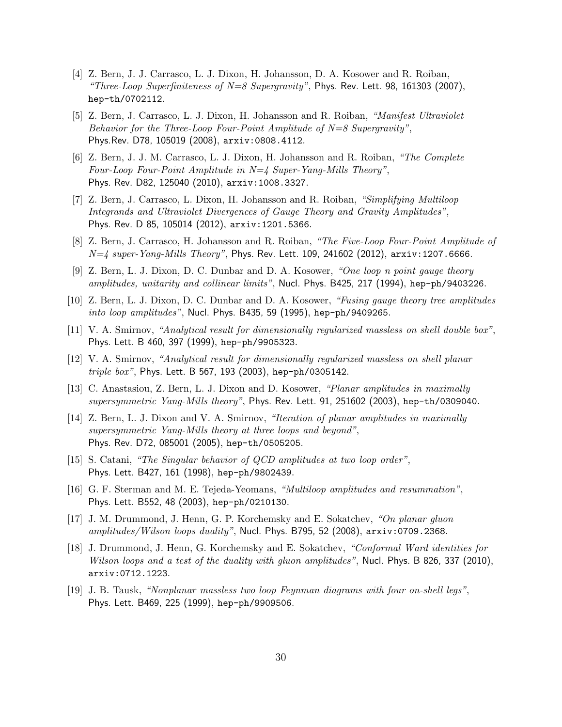- [4] Z. Bern, J. J. Carrasco, L. J. Dixon, H. Johansson, D. A. Kosower and R. Roiban, "Three-Loop Superfiniteness of  $N=8$  Supergravity", Phys. Rev. Lett. 98, 161303 (2007), hep-th/0702112.
- [5] Z. Bern, J. Carrasco, L. J. Dixon, H. Johansson and R. Roiban, "Manifest Ultraviolet Behavior for the Three-Loop Four-Point Amplitude of N=8 Supergravity", Phys.Rev. D78, 105019 (2008), arxiv:0808.4112.
- [6] Z. Bern, J. J. M. Carrasco, L. J. Dixon, H. Johansson and R. Roiban, "The Complete Four-Loop Four-Point Amplitude in  $N=4$  Super-Yang-Mills Theory", Phys. Rev. D82, 125040 (2010), arxiv:1008.3327.
- [7] Z. Bern, J. Carrasco, L. Dixon, H. Johansson and R. Roiban, "Simplifying Multiloop Integrands and Ultraviolet Divergences of Gauge Theory and Gravity Amplitudes", Phys. Rev. D 85, 105014 (2012), arxiv:1201.5366.
- [8] Z. Bern, J. Carrasco, H. Johansson and R. Roiban, "The Five-Loop Four-Point Amplitude of  $N=4$  super-Yang-Mills Theory", Phys. Rev. Lett. 109, 241602 (2012),  $arxiv:1207.6666$ .
- [9] Z. Bern, L. J. Dixon, D. C. Dunbar and D. A. Kosower, "One loop n point gauge theory amplitudes, unitarity and collinear limits", Nucl. Phys. B425, 217 (1994), hep-ph/9403226.
- [10] Z. Bern, L. J. Dixon, D. C. Dunbar and D. A. Kosower, "Fusing gauge theory tree amplitudes into loop amplitudes", Nucl. Phys. B435, 59 (1995), hep-ph/9409265.
- [11] V. A. Smirnov, "Analytical result for dimensionally regularized massless on shell double box", Phys. Lett. B 460, 397 (1999), hep-ph/9905323.
- [12] V. A. Smirnov, "Analytical result for dimensionally regularized massless on shell planar triple box", Phys. Lett. B 567, 193 (2003), hep-ph/0305142.
- [13] C. Anastasiou, Z. Bern, L. J. Dixon and D. Kosower, "Planar amplitudes in maximally supersymmetric Yang-Mills theory", Phys. Rev. Lett. 91, 251602 (2003), hep-th/0309040.
- [14] Z. Bern, L. J. Dixon and V. A. Smirnov, "Iteration of planar amplitudes in maximally supersymmetric Yang-Mills theory at three loops and beyond", Phys. Rev. D72, 085001 (2005), hep-th/0505205.
- [15] S. Catani, "The Singular behavior of QCD amplitudes at two loop order", Phys. Lett. B427, 161 (1998), hep-ph/9802439.
- [16] G. F. Sterman and M. E. Tejeda-Yeomans, "Multiloop amplitudes and resummation", Phys. Lett. B552, 48 (2003), hep-ph/0210130.
- [17] J. M. Drummond, J. Henn, G. P. Korchemsky and E. Sokatchev, "On planar gluon amplitudes/Wilson loops duality", Nucl. Phys. B795, 52 (2008), arxiv:0709.2368.
- [18] J. Drummond, J. Henn, G. Korchemsky and E. Sokatchev, "Conformal Ward identities for Wilson loops and a test of the duality with gluon amplitudes", Nucl. Phys. B 826, 337 (2010), arxiv:0712.1223.
- [19] J. B. Tausk, "Nonplanar massless two loop Feynman diagrams with four on-shell legs", Phys. Lett. B469, 225 (1999), hep-ph/9909506.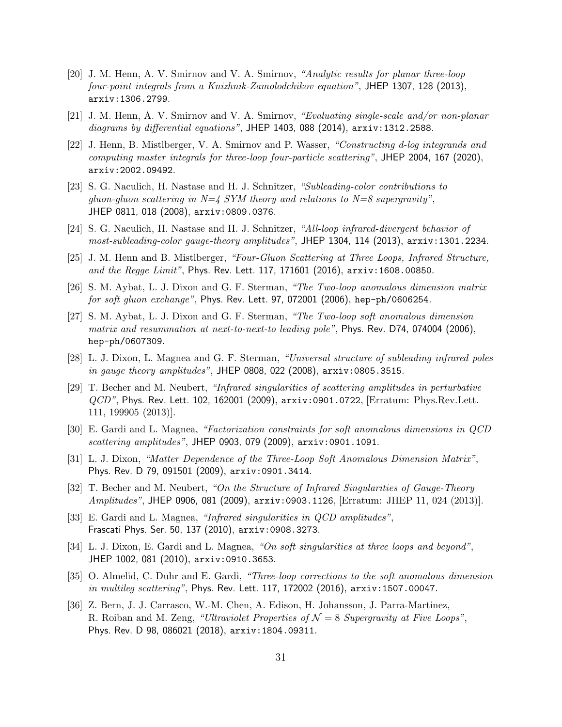- [20] J. M. Henn, A. V. Smirnov and V. A. Smirnov, "Analytic results for planar three-loop four-point integrals from a Knizhnik-Zamolodchikov equation", JHEP 1307, 128 (2013), arxiv:1306.2799.
- [21] J. M. Henn, A. V. Smirnov and V. A. Smirnov, "Evaluating single-scale and/or non-planar diagrams by differential equations", JHEP 1403, 088 (2014), arxiv:1312.2588.
- [22] J. Henn, B. Mistlberger, V. A. Smirnov and P. Wasser, "Constructing d-log integrands and computing master integrals for three-loop four-particle scattering", JHEP 2004, 167 (2020), arxiv:2002.09492.
- [23] S. G. Naculich, H. Nastase and H. J. Schnitzer, "Subleading-color contributions to gluon-gluon scattering in  $N=4$  SYM theory and relations to  $N=8$  supergravity", JHEP 0811, 018 (2008), arxiv:0809.0376.
- [24] S. G. Naculich, H. Nastase and H. J. Schnitzer, "All-loop infrared-divergent behavior of most-subleading-color gauge-theory amplitudes", JHEP 1304, 114 (2013), arxiv:1301.2234.
- [25] J. M. Henn and B. Mistlberger, "Four-Gluon Scattering at Three Loops, Infrared Structure, and the Regge Limit", Phys. Rev. Lett. 117, 171601 (2016), arxiv:1608.00850.
- [26] S. M. Aybat, L. J. Dixon and G. F. Sterman, "The Two-loop anomalous dimension matrix for soft gluon exchange", Phys. Rev. Lett. 97, 072001 (2006), hep-ph/0606254.
- [27] S. M. Aybat, L. J. Dixon and G. F. Sterman, "The Two-loop soft anomalous dimension matrix and resummation at next-to-next-to leading pole", Phys. Rev. D74, 074004 (2006), hep-ph/0607309.
- [28] L. J. Dixon, L. Magnea and G. F. Sterman, "Universal structure of subleading infrared poles in gauge theory amplitudes", JHEP 0808, 022 (2008),  $arxiv:0805.3515$ .
- [29] T. Becher and M. Neubert, "Infrared singularities of scattering amplitudes in perturbative QCD", Phys. Rev. Lett. 102, 162001 (2009), arxiv:0901.0722, [Erratum: Phys.Rev.Lett. 111, 199905 (2013)].
- [30] E. Gardi and L. Magnea, "Factorization constraints for soft anomalous dimensions in QCD scattering amplitudes", JHEP 0903, 079 (2009), arxiv:0901.1091.
- [31] L. J. Dixon, "Matter Dependence of the Three-Loop Soft Anomalous Dimension Matrix", Phys. Rev. D 79, 091501 (2009), arxiv:0901.3414.
- [32] T. Becher and M. Neubert, "On the Structure of Infrared Singularities of Gauge-Theory Amplitudes", JHEP 0906, 081 (2009), arxiv:0903.1126, [Erratum: JHEP 11, 024 (2013)].
- [33] E. Gardi and L. Magnea, "Infrared singularities in QCD amplitudes", Frascati Phys. Ser. 50, 137 (2010), arxiv:0908.3273.
- [34] L. J. Dixon, E. Gardi and L. Magnea, "On soft singularities at three loops and beyond", JHEP 1002, 081 (2010), arxiv:0910.3653.
- [35] O. Almelid, C. Duhr and E. Gardi, "Three-loop corrections to the soft anomalous dimension in multileg scattering", Phys. Rev. Lett. 117, 172002 (2016), arxiv:1507.00047.
- [36] Z. Bern, J. J. Carrasco, W.-M. Chen, A. Edison, H. Johansson, J. Parra-Martinez, R. Roiban and M. Zeng, "Ultraviolet Properties of  $\mathcal{N}=8$  Supergravity at Five Loops", Phys. Rev. D 98, 086021 (2018), arxiv:1804.09311.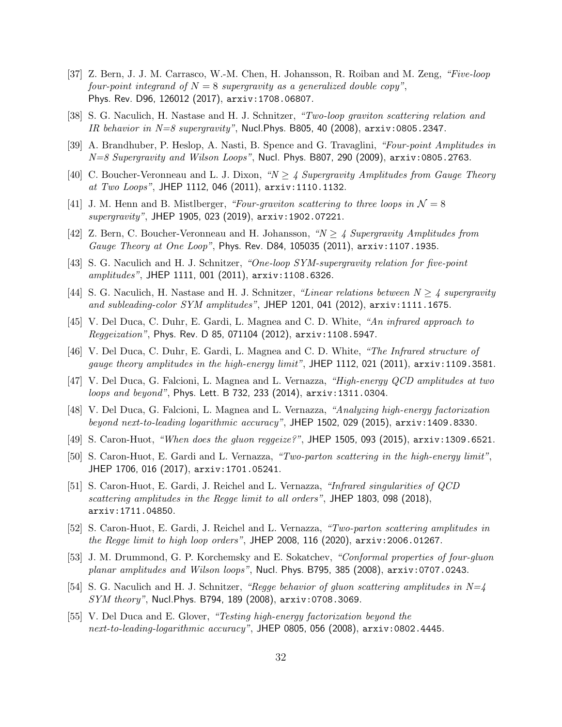- [37] Z. Bern, J. J. M. Carrasco, W.-M. Chen, H. Johansson, R. Roiban and M. Zeng, "Five-loop four-point integrand of  $N = 8$  supergravity as a generalized double copy", Phys. Rev. D96, 126012 (2017), arxiv:1708.06807.
- [38] S. G. Naculich, H. Nastase and H. J. Schnitzer, "Two-loop graviton scattering relation and IR behavior in  $N=8$  supergravity", Nucl. Phys. B805, 40 (2008),  $arxiv:0805.2347$ .
- [39] A. Brandhuber, P. Heslop, A. Nasti, B. Spence and G. Travaglini, "Four-point Amplitudes in  $N=8$  Supergravity and Wilson Loops", Nucl. Phys. B807, 290 (2009), arxiv:0805.2763.
- [40] C. Boucher-Veronneau and L. J. Dixon, " $N \geq 4$  Supergravity Amplitudes from Gauge Theory at Two Loops", JHEP 1112, 046 (2011), arxiv:1110.1132.
- [41] J. M. Henn and B. Mistlberger, "Four-graviton scattering to three loops in  $\mathcal{N}=8$ supergravity", JHEP 1905, 023 (2019), arxiv:1902.07221.
- [42] Z. Bern, C. Boucher-Veronneau and H. Johansson, " $N > 4$  Supergravity Amplitudes from Gauge Theory at One Loop", Phys. Rev. D84, 105035 (2011), arxiv:1107.1935.
- [43] S. G. Naculich and H. J. Schnitzer, "One-loop SYM-supergravity relation for five-point amplitudes", JHEP 1111, 001 (2011),  $arxiv:1108.6326$ .
- [44] S. G. Naculich, H. Nastase and H. J. Schnitzer, "Linear relations between  $N \geq 4$  supergravity and subleading-color SYM amplitudes", JHEP 1201, 041 (2012), arxiv:1111.1675.
- [45] V. Del Duca, C. Duhr, E. Gardi, L. Magnea and C. D. White, "An infrared approach to Reggeization", Phys. Rev. D 85, 071104 (2012), arxiv:1108.5947.
- [46] V. Del Duca, C. Duhr, E. Gardi, L. Magnea and C. D. White, "The Infrared structure of gauge theory amplitudes in the high-energy limit", JHEP 1112, 021 (2011), arxiv:1109.3581.
- [47] V. Del Duca, G. Falcioni, L. Magnea and L. Vernazza, "High-energy QCD amplitudes at two loops and beyond", Phys. Lett. B 732, 233 (2014), arxiv:1311.0304.
- [48] V. Del Duca, G. Falcioni, L. Magnea and L. Vernazza, "Analyzing high-energy factorization beyond next-to-leading logarithmic accuracy", JHEP 1502, 029 (2015), arxiv:1409.8330.
- [49] S. Caron-Huot, "When does the gluon reggeize?", JHEP 1505, 093 (2015), arxiv:1309.6521.
- [50] S. Caron-Huot, E. Gardi and L. Vernazza, "Two-parton scattering in the high-energy limit", JHEP 1706, 016 (2017), arxiv:1701.05241.
- [51] S. Caron-Huot, E. Gardi, J. Reichel and L. Vernazza, "Infrared singularities of QCD scattering amplitudes in the Regge limit to all orders", JHEP 1803, 098 (2018), arxiv:1711.04850.
- [52] S. Caron-Huot, E. Gardi, J. Reichel and L. Vernazza, "Two-parton scattering amplitudes in the Regge limit to high loop orders", JHEP 2008, 116 (2020), arxiv:2006.01267.
- [53] J. M. Drummond, G. P. Korchemsky and E. Sokatchev, "Conformal properties of four-gluon planar amplitudes and Wilson loops", Nucl. Phys. B795, 385 (2008), arxiv:0707.0243.
- [54] S. G. Naculich and H. J. Schnitzer, "Regge behavior of gluon scattering amplitudes in  $N=4$ SYM theory", Nucl.Phys. B794, 189 (2008), arxiv:0708.3069.
- [55] V. Del Duca and E. Glover, "Testing high-energy factorization beyond the next-to-leading-logarithmic accuracy", JHEP 0805, 056 (2008), arxiv:0802.4445.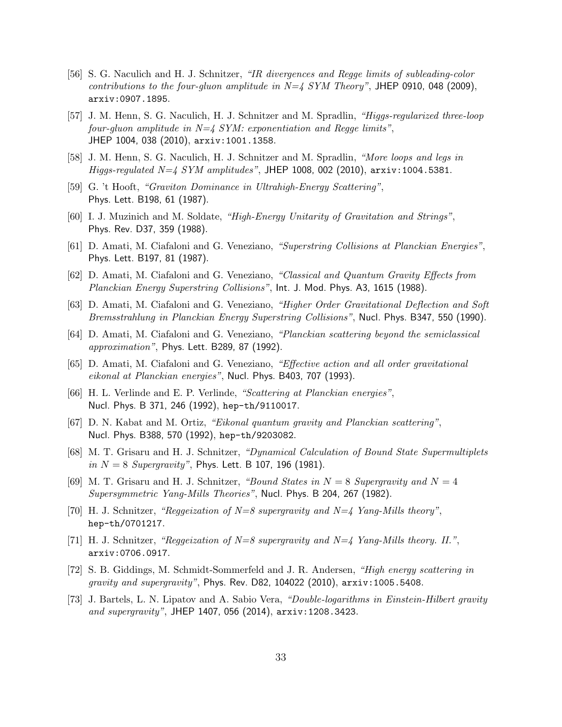- [56] S. G. Naculich and H. J. Schnitzer, "IR divergences and Regge limits of subleading-color contributions to the four-gluon amplitude in  $N=4$  SYM Theory", JHEP 0910, 048 (2009), arxiv:0907.1895.
- [57] J. M. Henn, S. G. Naculich, H. J. Schnitzer and M. Spradlin, "Higgs-regularized three-loop four-gluon amplitude in  $N=4$  SYM: exponentiation and Regge limits", JHEP 1004, 038 (2010), arxiv:1001.1358.
- [58] J. M. Henn, S. G. Naculich, H. J. Schnitzer and M. Spradlin, "More loops and legs in Higgs-regulated  $N=4$  SYM amplitudes", JHEP 1008, 002 (2010),  $arxiv:1004.5381$ .
- [59] G. 't Hooft, "Graviton Dominance in Ultrahigh-Energy Scattering", Phys. Lett. B198, 61 (1987).
- [60] I. J. Muzinich and M. Soldate, "High-Energy Unitarity of Gravitation and Strings", Phys. Rev. D37, 359 (1988).
- [61] D. Amati, M. Ciafaloni and G. Veneziano, "Superstring Collisions at Planckian Energies", Phys. Lett. B197, 81 (1987).
- [62] D. Amati, M. Ciafaloni and G. Veneziano, "Classical and Quantum Gravity Effects from Planckian Energy Superstring Collisions", Int. J. Mod. Phys. A3, 1615 (1988).
- [63] D. Amati, M. Ciafaloni and G. Veneziano, "Higher Order Gravitational Deflection and Soft Bremsstrahlung in Planckian Energy Superstring Collisions", Nucl. Phys. B347, 550 (1990).
- [64] D. Amati, M. Ciafaloni and G. Veneziano, "Planckian scattering beyond the semiclassical approximation", Phys. Lett. B289, 87 (1992).
- [65] D. Amati, M. Ciafaloni and G. Veneziano, "Effective action and all order gravitational eikonal at Planckian energies", Nucl. Phys. B403, 707 (1993).
- [66] H. L. Verlinde and E. P. Verlinde, "Scattering at Planckian energies", Nucl. Phys. B 371, 246 (1992), hep-th/9110017.
- [67] D. N. Kabat and M. Ortiz, "Eikonal quantum gravity and Planckian scattering", Nucl. Phys. B388, 570 (1992), hep-th/9203082.
- [68] M. T. Grisaru and H. J. Schnitzer, "Dynamical Calculation of Bound State Supermultiplets in  $N = 8$  Supergravity", Phys. Lett. B 107, 196 (1981).
- [69] M. T. Grisaru and H. J. Schnitzer, "Bound States in  $N = 8$  Supergravity and  $N = 4$ Supersymmetric Yang-Mills Theories", Nucl. Phys. B 204, 267 (1982).
- [70] H. J. Schnitzer, "Reggeization of  $N=8$  supergravity and  $N=4$  Yang-Mills theory", hep-th/0701217.
- [71] H. J. Schnitzer, "Reggeization of  $N=8$  supergravity and  $N=4$  Yang-Mills theory. II.", arxiv:0706.0917.
- [72] S. B. Giddings, M. Schmidt-Sommerfeld and J. R. Andersen, "High energy scattering in gravity and supergravity", Phys. Rev. D82, 104022 (2010),  $arxiv:1005.5408$ .
- [73] J. Bartels, L. N. Lipatov and A. Sabio Vera, "Double-logarithms in Einstein-Hilbert gravity and supergravity", JHEP 1407, 056 (2014), arxiv:1208.3423.